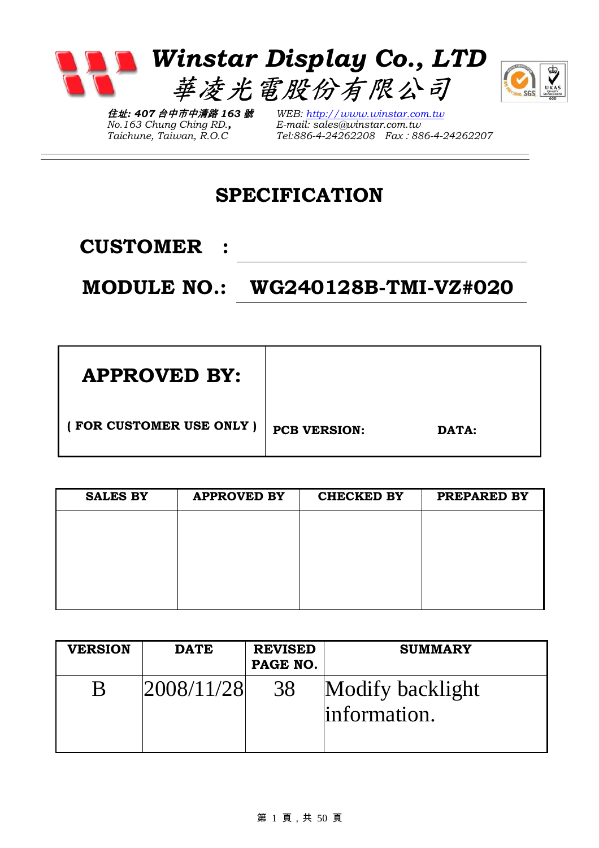

*No.163 Chung Ching RD., Taichune, Taiwan, R.O.C* 

*WEB: http://www.winstar.com.tw E-mail: sales@winstar.com.tw Tel:886-4-24262208 Fax*:*886-4-24262207*

# **SPECIFICATION**

**CUSTOMER :** 

# **MODULE NO.: WG240128B-TMI-VZ#020**

| <b>APPROVED BY:</b>     |                     |       |
|-------------------------|---------------------|-------|
| (FOR CUSTOMER USE ONLY) | <b>PCB VERSION:</b> | DATA: |

| <b>SALES BY</b> | <b>APPROVED BY</b> | <b>CHECKED BY</b> | PREPARED BY |
|-----------------|--------------------|-------------------|-------------|
|                 |                    |                   |             |
|                 |                    |                   |             |
|                 |                    |                   |             |
|                 |                    |                   |             |
|                 |                    |                   |             |

| <b>VERSION</b> | <b>DATE</b> | <b>REVISED</b><br>PAGE NO. | <b>SUMMARY</b>                    |
|----------------|-------------|----------------------------|-----------------------------------|
| B              | 2008/11/28  | 38                         | Modify backlight<br>linformation. |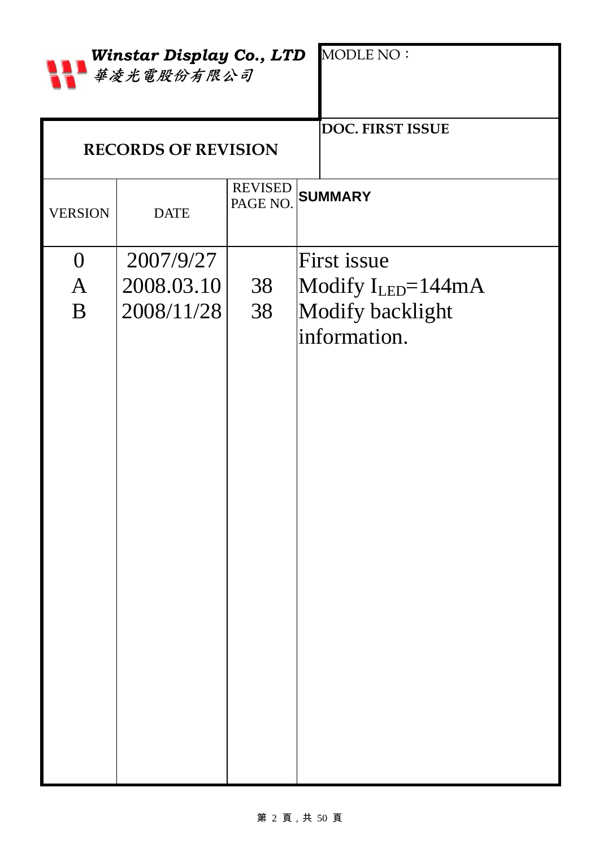|                | <b>Winstar Display Co., LTD</b><br>華凌光電股份有限公司 |                            | <b>MODLE NO:</b>         |
|----------------|-----------------------------------------------|----------------------------|--------------------------|
|                | <b>RECORDS OF REVISION</b>                    |                            | DOC. FIRST ISSUE         |
| <b>VERSION</b> | <b>DATE</b>                                   | <b>REVISED</b><br>PAGE NO. | <b>SUMMARY</b>           |
| $\overline{0}$ | 2007/9/27                                     |                            | First issue              |
| $\overline{A}$ | 2008.03.10                                    | 38                         | Modify $I_{LED} = 144mA$ |
| B              | 2008/11/28                                    | 38                         | Modify backlight         |
|                |                                               |                            | information.             |

### 第 2 頁,共 50 頁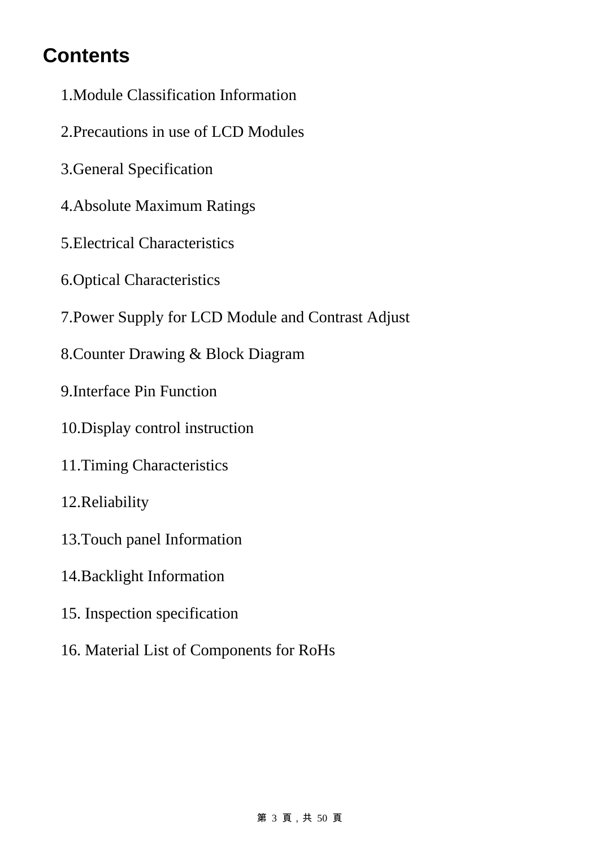# **Contents**

- 1.Module Classification Information
- 2.Precautions in use of LCD Modules
- 3.General Specification
- 4.Absolute Maximum Ratings
- 5.Electrical Characteristics
- 6.Optical Characteristics
- 7.Power Supply for LCD Module and Contrast Adjust
- 8.Counter Drawing & Block Diagram
- 9.Interface Pin Function
- 10.Display control instruction
- 11.Timing Characteristics
- 12.Reliability
- 13.Touch panel Information
- 14.Backlight Information
- 15. Inspection specification
- 16. Material List of Components for RoHs

#### 第 3 頁,共 50 頁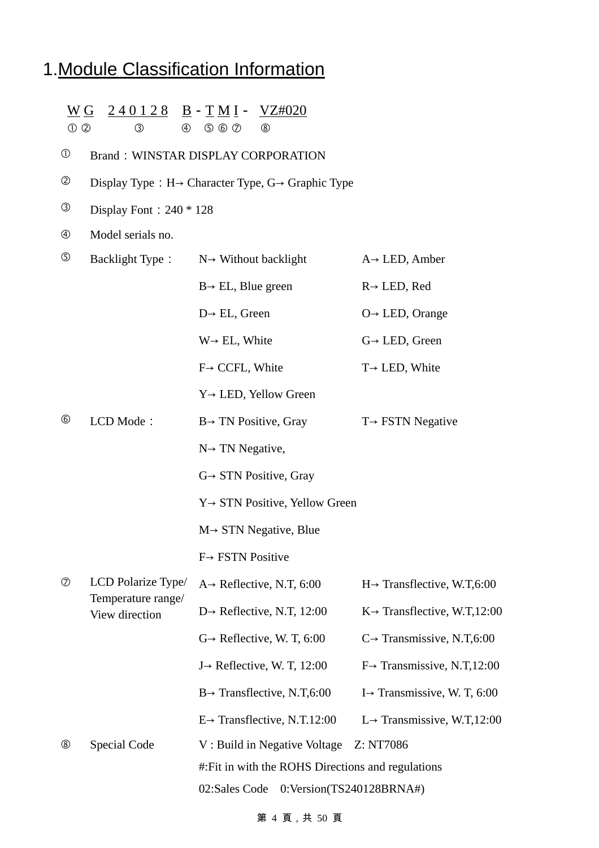# 1.Module Classification Information

| $\odot$ $\odot$ | W G<br>$\circled{3}$<br>$\circledA$  | $240128$ B - TMI - VZ#020<br>$O$ $O$<br>$^{\circledR}$                      |                                           |  |  |  |
|-----------------|--------------------------------------|-----------------------------------------------------------------------------|-------------------------------------------|--|--|--|
| $^\circledR$    |                                      | <b>Brand: WINSTAR DISPLAY CORPORATION</b>                                   |                                           |  |  |  |
| $^{\circledR}$  |                                      | Display Type : $H \rightarrow$ Character Type, $G \rightarrow$ Graphic Type |                                           |  |  |  |
| ③               | Display Font: $240 * 128$            |                                                                             |                                           |  |  |  |
| $^{\circledR}$  | Model serials no.                    |                                                                             |                                           |  |  |  |
| $\circledS$     | <b>Backlight Type:</b>               | $N \rightarrow$ Without backlight                                           | $A \rightarrow$ LED, Amber                |  |  |  |
|                 |                                      | $B \rightarrow EL$ , Blue green                                             | $R \rightarrow$ LED, Red                  |  |  |  |
|                 |                                      | $D \rightarrow EL$ , Green                                                  | $O \rightarrow$ LED, Orange               |  |  |  |
|                 |                                      | $W \rightarrow EL$ , White                                                  | $G \rightarrow$ LED, Green                |  |  |  |
|                 |                                      | $F \rightarrow$ CCFL, White                                                 | $T \rightarrow$ LED, White                |  |  |  |
|                 |                                      | $Y \rightarrow$ LED, Yellow Green                                           |                                           |  |  |  |
| $^{\circledR}$  | LCD Mode:                            | $B \rightarrow TN$ Positive, Gray                                           | $T \rightarrow FSTN$ Negative             |  |  |  |
|                 |                                      | $N \rightarrow TN$ Negative,                                                |                                           |  |  |  |
|                 |                                      | $G \rightarrow STN$ Positive, Gray                                          |                                           |  |  |  |
|                 |                                      | $Y \rightarrow STN$ Positive, Yellow Green                                  |                                           |  |  |  |
|                 |                                      | $M \rightarrow STN$ Negative, Blue                                          |                                           |  |  |  |
|                 |                                      | $F \rightarrow FSTN$ Positive                                               |                                           |  |  |  |
| $^\circledR$    | LCD Polarize Type/                   | $A \rightarrow$ Reflective, N.T, 6:00                                       | $H \rightarrow$ Transflective, W.T,6:00   |  |  |  |
|                 | Temperature range/<br>View direction | $D \rightarrow$ Reflective, N.T, 12:00                                      | $K \rightarrow$ Transflective, W.T, 12:00 |  |  |  |
|                 |                                      | $G \rightarrow$ Reflective, W. T, 6:00                                      | $C \rightarrow$ Transmissive, N.T,6:00    |  |  |  |
|                 |                                      | $J \rightarrow$ Reflective, W. T, 12:00                                     | $F \rightarrow$ Transmissive, N.T, 12:00  |  |  |  |
|                 |                                      | $B \rightarrow$ Transflective, N.T,6:00                                     | I $\rightarrow$ Transmissive, W. T, 6:00  |  |  |  |
|                 |                                      | $E \rightarrow$ Transflective, N.T.12:00                                    | $L \rightarrow$ Transmissive, W.T, 12:00  |  |  |  |
| $^\circledR$    | Special Code                         | V: Build in Negative Voltage                                                | Z: NT7086                                 |  |  |  |
|                 |                                      | #: Fit in with the ROHS Directions and regulations                          |                                           |  |  |  |
|                 |                                      | 02:Sales Code                                                               | $0:Version(TS240128BRNA\#)$               |  |  |  |

第 4 頁,共 50 頁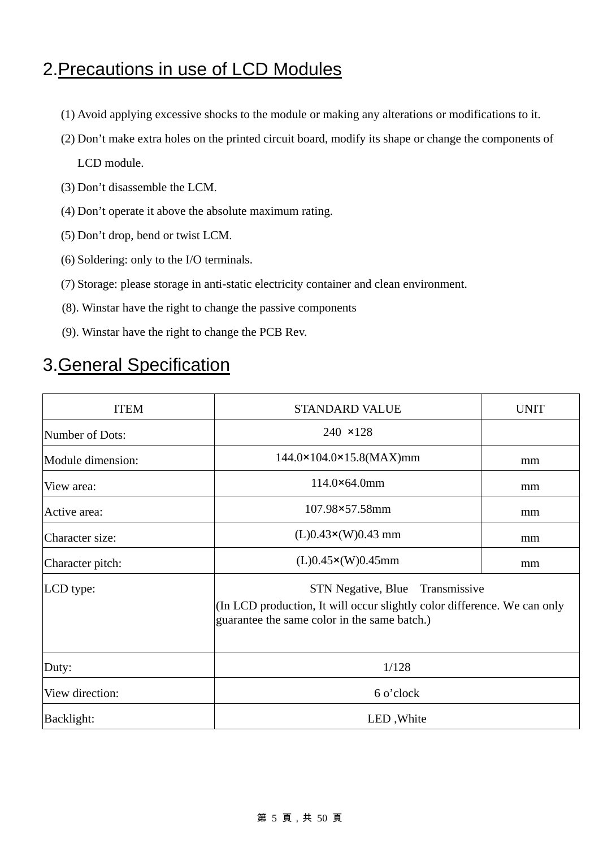### 2.Precautions in use of LCD Modules

- (1) Avoid applying excessive shocks to the module or making any alterations or modifications to it.
- (2) Don't make extra holes on the printed circuit board, modify its shape or change the components of LCD module.
- (3) Don't disassemble the LCM.
- (4) Don't operate it above the absolute maximum rating.
- (5) Don't drop, bend or twist LCM.
- (6) Soldering: only to the I/O terminals.
- (7) Storage: please storage in anti-static electricity container and clean environment.
- (8). Winstar have the right to change the passive components
- (9). Winstar have the right to change the PCB Rev.

### 3.General Specification

| <b>ITEM</b>       | <b>STANDARD VALUE</b>                                                                                                                                       | <b>UNIT</b> |  |  |  |
|-------------------|-------------------------------------------------------------------------------------------------------------------------------------------------------------|-------------|--|--|--|
| Number of Dots:   | $240 \times 128$                                                                                                                                            |             |  |  |  |
| Module dimension: | $144.0 \times 104.0 \times 15.8$ (MAX)mm                                                                                                                    | mm          |  |  |  |
| View area:        | $114.0 \times 64.0$ mm                                                                                                                                      | mm          |  |  |  |
| Active area:      | 107.98×57.58mm                                                                                                                                              | mm          |  |  |  |
| Character size:   | $(L)0.43 \times (W)0.43$ mm                                                                                                                                 | mm          |  |  |  |
| Character pitch:  | $(L)0.45 \times (W)0.45$ mm                                                                                                                                 |             |  |  |  |
| LCD type:         | STN Negative, Blue Transmissive<br>(In LCD production, It will occur slightly color difference. We can only<br>guarantee the same color in the same batch.) |             |  |  |  |
| Duty:             | 1/128                                                                                                                                                       |             |  |  |  |
| View direction:   | 6 o'clock                                                                                                                                                   |             |  |  |  |
| Backlight:        | LED, White                                                                                                                                                  |             |  |  |  |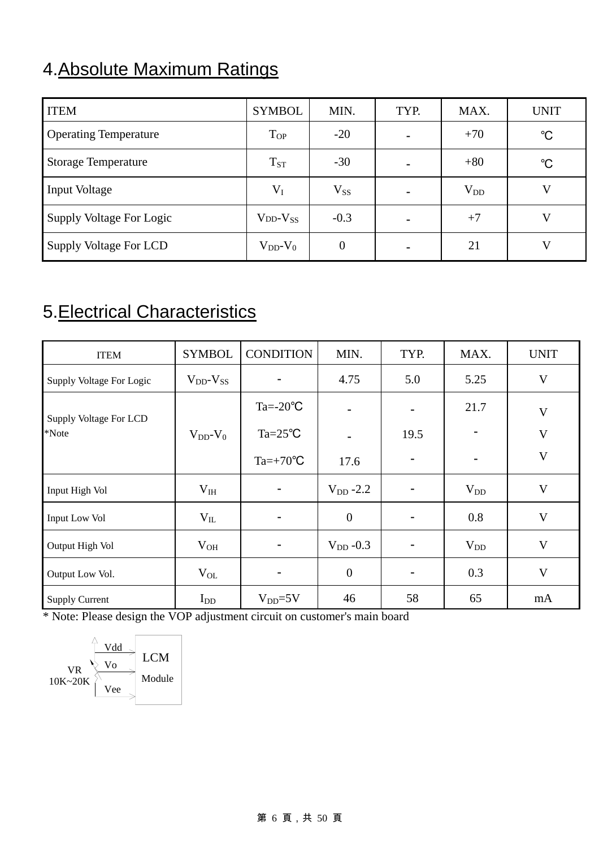# 4.Absolute Maximum Ratings

| <b>ITEM</b>                  | <b>SYMBOL</b>       | MIN.           | TYP. | MAX.     | <b>UNIT</b> |
|------------------------------|---------------------|----------------|------|----------|-------------|
| <b>Operating Temperature</b> | $T_{OP}$            | $-20$          | -    | $+70$    | $^{\circ}C$ |
| <b>Storage Temperature</b>   | $T_{ST}$            | $-30$          |      | $+80$    | $^{\circ}C$ |
| <b>Input Voltage</b>         | $V_I$               | $V_{SS}$       | -    | $V_{DD}$ | V           |
| Supply Voltage For Logic     | $V_{DD}$ - $V_{SS}$ | $-0.3$         |      | $+7$     | V           |
| Supply Voltage For LCD       | $V_{DD}$ - $V_0$    | $\overline{0}$ |      | 21       | V           |

# 5.Electrical Characteristics

| <b>ITEM</b>              | <b>SYMBOL</b>       | <b>CONDITION</b>   | MIN.           | TYP.                     | MAX.     | <b>UNIT</b>  |
|--------------------------|---------------------|--------------------|----------------|--------------------------|----------|--------------|
| Supply Voltage For Logic | $V_{DD}$ - $V_{SS}$ |                    | 4.75           | 5.0                      | 5.25     | V            |
| Supply Voltage For LCD   |                     | $Ta = -20$ °C      |                | $\overline{\phantom{a}}$ | 21.7     | V            |
| *Note                    | $V_{DD}$ - $V_0$    | $Ta = 25^{\circ}C$ |                | 19.5                     |          | V            |
|                          |                     | $Ta=+70^{\circ}C$  | 17.6           | $\overline{\phantom{a}}$ | -        | $\mathbf{V}$ |
| Input High Vol           | $V_{IH}$            |                    | $V_{DD} - 2.2$ |                          | $V_{DD}$ | V            |
| <b>Input Low Vol</b>     | $V_{IL}$            | $\qquad \qquad$    | $\mathbf{0}$   | -                        | 0.8      | V            |
| Output High Vol          | $V_{OH}$            |                    | $V_{DD} -0.3$  |                          | $V_{DD}$ | V            |
| Output Low Vol.          | $V_{OL}$            |                    | $\overline{0}$ | -                        | 0.3      | V            |
| <b>Supply Current</b>    | $I_{DD}$            | $V_{DD} = 5V$      | 46             | 58                       | 65       | mA           |

\* Note: Please design the VOP adjustment circuit on customer's main board

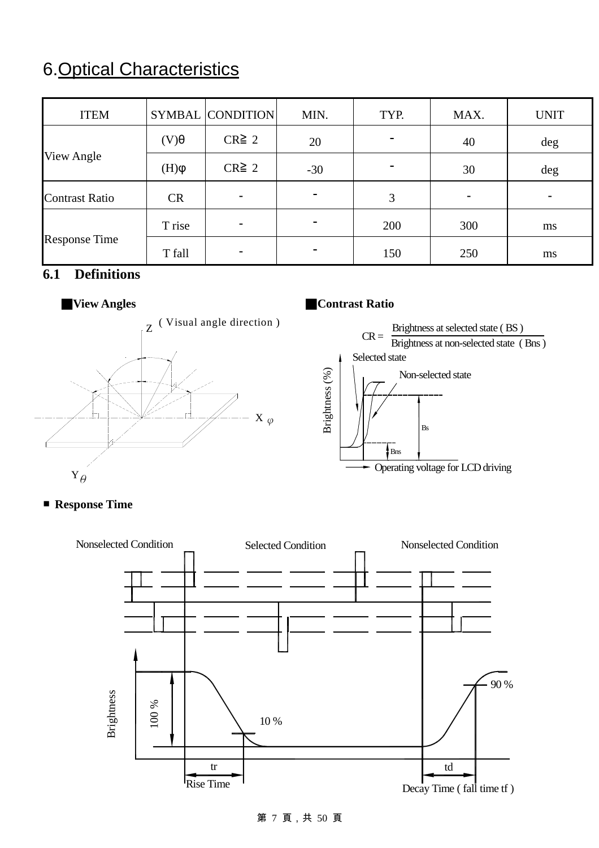# 6.Optical Characteristics

| <b>ITEM</b>           |             | SYMBAL CONDITION | MIN.                     | TYP.                     | MAX. | <b>UNIT</b> |
|-----------------------|-------------|------------------|--------------------------|--------------------------|------|-------------|
|                       | $\theta(V)$ | $CR \geq 2$      | 20                       | $\overline{\phantom{0}}$ | 40   | deg         |
| View Angle            | $\phi(H)$   | $CR \geq 2$      | $-30$                    | $\overline{\phantom{0}}$ | 30   | deg         |
| <b>Contrast Ratio</b> | <b>CR</b>   |                  |                          | 3                        |      |             |
| <b>Response Time</b>  | T rise      |                  |                          | 200                      | 300  | ms          |
|                       | T fall      |                  | $\overline{\phantom{a}}$ | 150                      | 250  | ms          |

### **6.1 Definitions**



### ■**View Angles** ■**Contrast Ratio**



### ■ **Response Time**



#### 第 7 頁,共 50 頁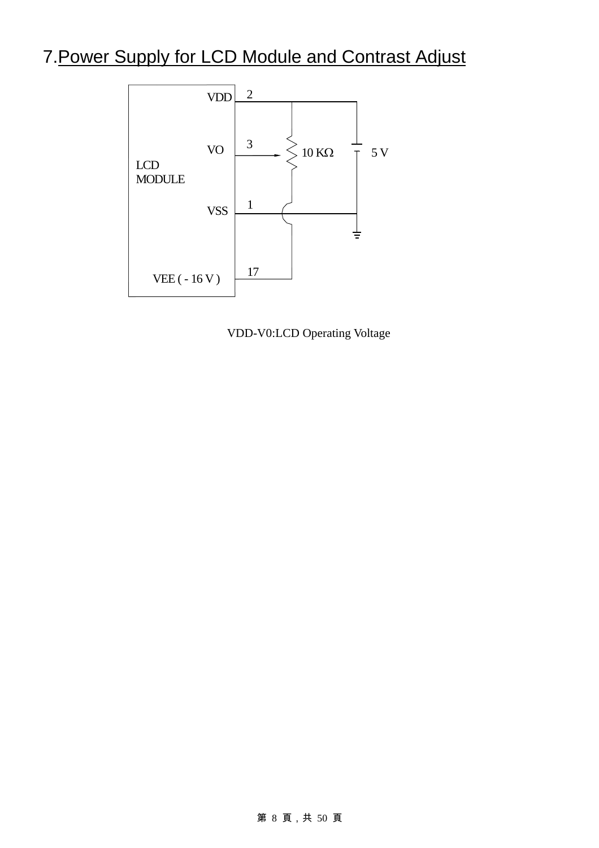# 7.Power Supply for LCD Module and Contrast Adjust



VDD-V0:LCD Operating Voltage

#### 第 8 頁,共 50 頁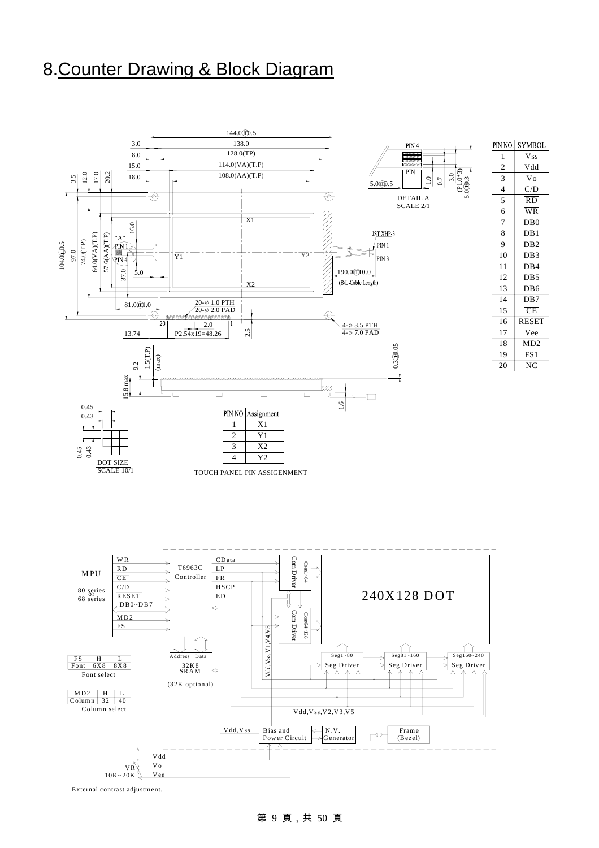### 8.Counter Drawing & Block Diagram



 $6$  WR

15

CE

DB4

 $DB2$  $DB3$ 

DB1 DB0

Vdd

Vss

C/D RD

Vo

D<sub>B5</sub>

D<sub>B6</sub> DB7

NC

MD2 FS1

Vee RESET

11

9 10

8 7

 $\overline{2}$ 

1

3

4 5

12

13 14

20

18 19

17 16

External contrast adjustment.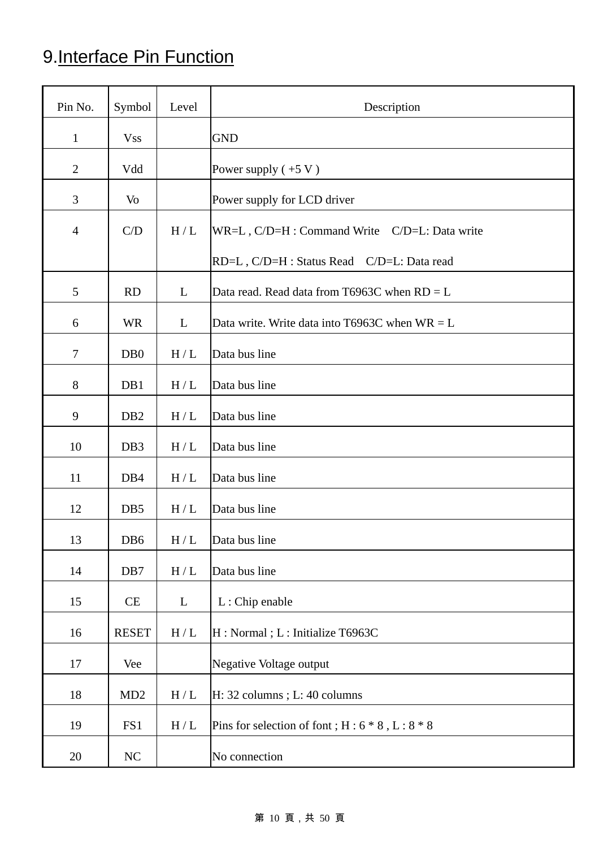# 9.Interface Pin Function

| Pin No.        | Symbol           | Level                       | Description                                         |
|----------------|------------------|-----------------------------|-----------------------------------------------------|
| $\mathbf{1}$   | <b>Vss</b>       |                             | <b>GND</b>                                          |
| $\overline{2}$ | Vdd              |                             | Power supply $(+5 V)$                               |
| 3              | Vo               |                             | Power supply for LCD driver                         |
| $\overline{4}$ | C/D              | H/L                         | WR=L, C/D=H : Command Write C/D=L: Data write       |
|                |                  |                             | RD=L, C/D=H : Status Read C/D=L: Data read          |
| 5              | <b>RD</b>        | L                           | Data read. Read data from T6963C when $RD = L$      |
| 6              | <b>WR</b>        | L                           | Data write. Write data into T6963C when $WR = L$    |
| $\tau$         | D <sub>B</sub> 0 | H/L                         | Data bus line                                       |
| $8\phantom{.}$ | DB1              | H/L                         | Data bus line                                       |
| 9              | DB <sub>2</sub>  | $\rm H/L$                   | Data bus line                                       |
| 10             | DB <sub>3</sub>  | $\rm H$ / $\rm L$           | Data bus line                                       |
| 11             | DB4              | H/L                         | Data bus line                                       |
| 12             | DB5              | H/L                         | Data bus line                                       |
| 13             | DB6              | $\mathbf{H}\,/\,\mathbf{L}$ | Data bus line                                       |
| 14             | DB7              | $\rm H$ / $\rm L$           | Data bus line                                       |
| 15             | CE               | L                           | L: Chip enable                                      |
| 16             | <b>RESET</b>     | H/L                         | H : Normal ; L : Initialize T6963C                  |
| 17             | Vee              |                             | Negative Voltage output                             |
| 18             | MD <sub>2</sub>  | $\rm H$ / $\rm L$           | H: 32 columns; L: 40 columns                        |
| 19             | FS1              | H/L                         | Pins for selection of font; $H: 6 * 8$ , $L: 8 * 8$ |
| 20             | NC               |                             | No connection                                       |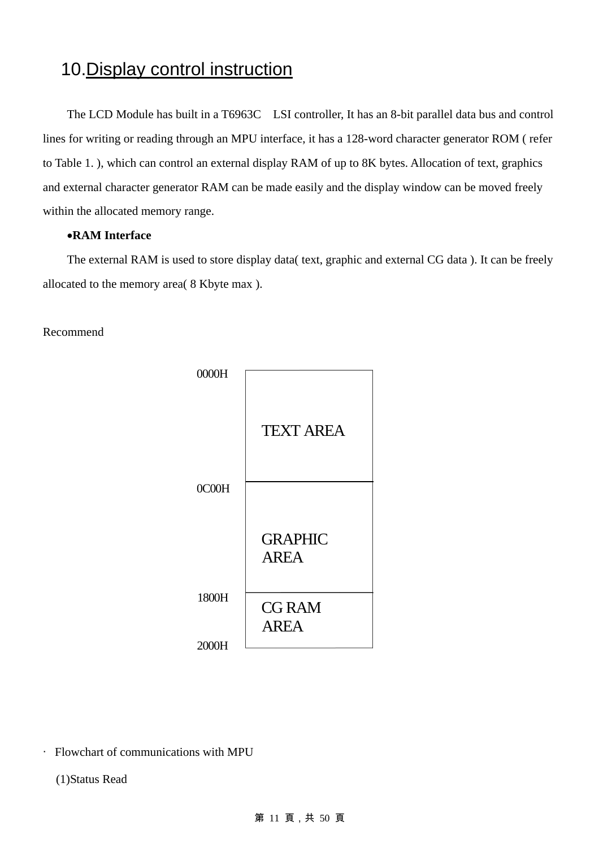### 10. Display control instruction

The LCD Module has built in a T6963C LSI controller, It has an 8-bit parallel data bus and control lines for writing or reading through an MPU interface, it has a 128-word character generator ROM ( refer to Table 1. ), which can control an external display RAM of up to 8K bytes. Allocation of text, graphics and external character generator RAM can be made easily and the display window can be moved freely within the allocated memory range.

#### •**RAM Interface**

The external RAM is used to store display data( text, graphic and external CG data ). It can be freely allocated to the memory area( 8 Kbyte max ).

#### Recommend



‧ Flowchart of communications with MPU

(1)Status Read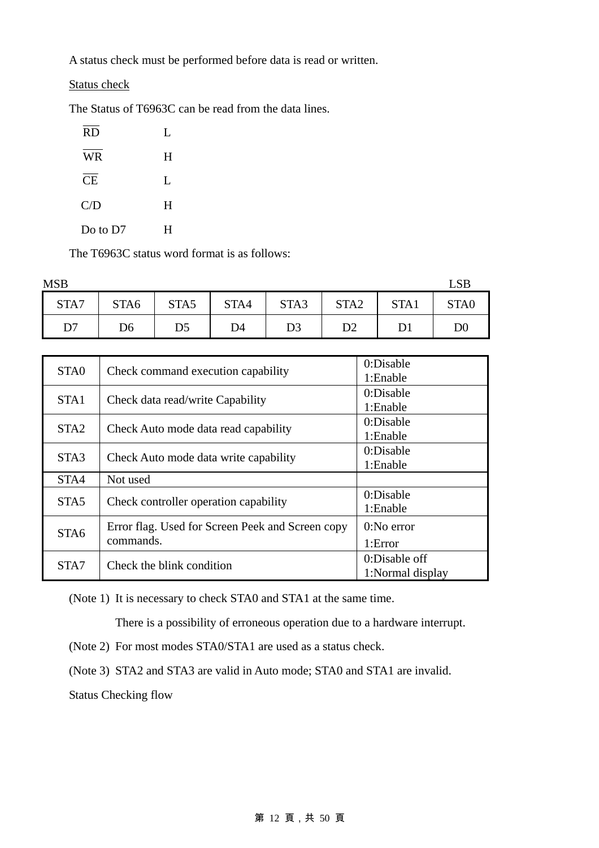A status check must be performed before data is read or written.

Status check

The Status of T6963C can be read from the data lines.

| <b>RD</b> | L |
|-----------|---|
| <b>WR</b> | H |
| <b>CE</b> | L |
| C/D       | H |
| Do to D7  | н |

The T6963C status word format is as follows:

| <b>MSB</b>     |                  |      |      |      |                  |      | LSE              |
|----------------|------------------|------|------|------|------------------|------|------------------|
| STA7           | STA <sub>6</sub> | STA5 | STA4 | STA3 | STA <sub>2</sub> | STA1 | STA <sub>0</sub> |
| D <sub>7</sub> | D6               | D5   | D4   | D3   | D <sub>2</sub>   |      | $\mathrm{D}0$    |

| STA0             | Check command execution capability                            | 0:Disable<br>1:Enable             |
|------------------|---------------------------------------------------------------|-----------------------------------|
| STA1             | Check data read/write Capability                              | 0:Disable                         |
| STA <sub>2</sub> |                                                               | 1:Enable<br>0:Disable             |
|                  | Check Auto mode data read capability                          | 1:Enable                          |
| STA <sub>3</sub> | Check Auto mode data write capability                         | 0:Disable<br>1:Enable             |
| STA4             | Not used                                                      |                                   |
| STA <sub>5</sub> | Check controller operation capability                         | 0:Disable<br>1:Enable             |
| STA <sub>6</sub> | Error flag. Used for Screen Peek and Screen copy<br>commands. | $0:$ No error<br>1:Error          |
| STA7             | Check the blink condition                                     | 0:Disable off<br>1:Normal display |

(Note 1) It is necessary to check STA0 and STA1 at the same time.

There is a possibility of erroneous operation due to a hardware interrupt.

(Note 2) For most modes STA0/STA1 are used as a status check.

(Note 3) STA2 and STA3 are valid in Auto mode; STA0 and STA1 are invalid.

Status Checking flow

### 第 12 頁,共 50 頁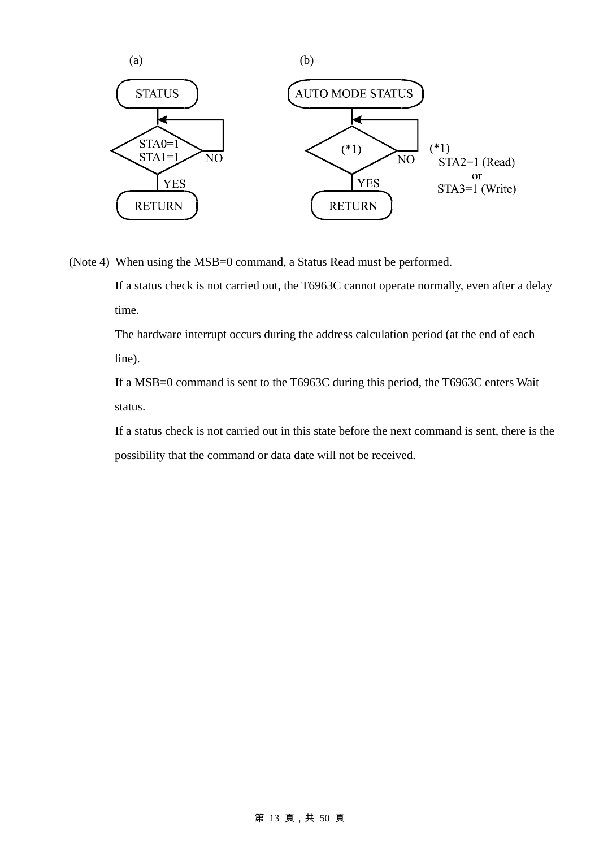

(Note 4) When using the MSB=0 command, a Status Read must be performed.

If a status check is not carried out, the T6963C cannot operate normally, even after a delay time.

The hardware interrupt occurs during the address calculation period (at the end of each line).

If a MSB=0 command is sent to the T6963C during this period, the T6963C enters Wait status.

If a status check is not carried out in this state before the next command is sent, there is the possibility that the command or data date will not be received.

#### 第 13 頁,共 50 頁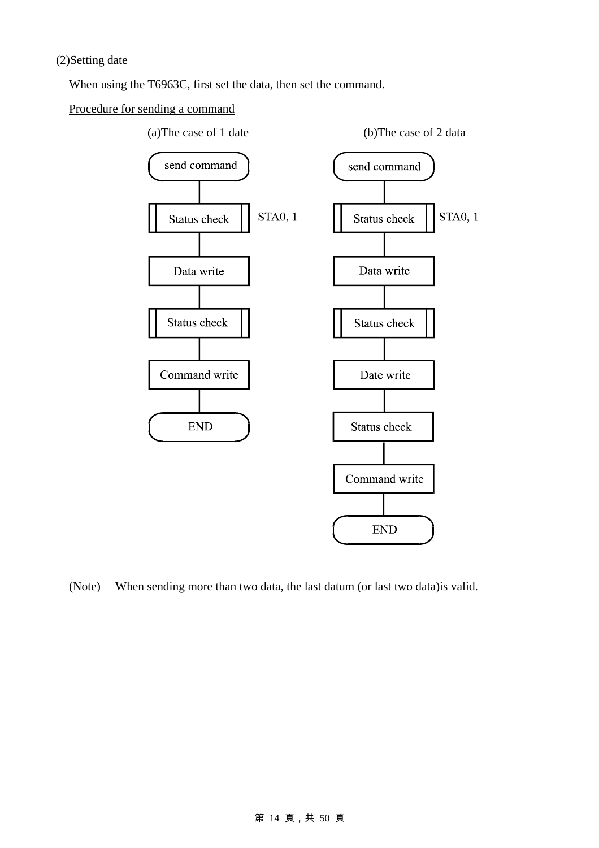When using the T6963C, first set the data, then set the command.

#### Procedure for sending a command



(Note) When sending more than two data, the last datum (or last two data)is valid.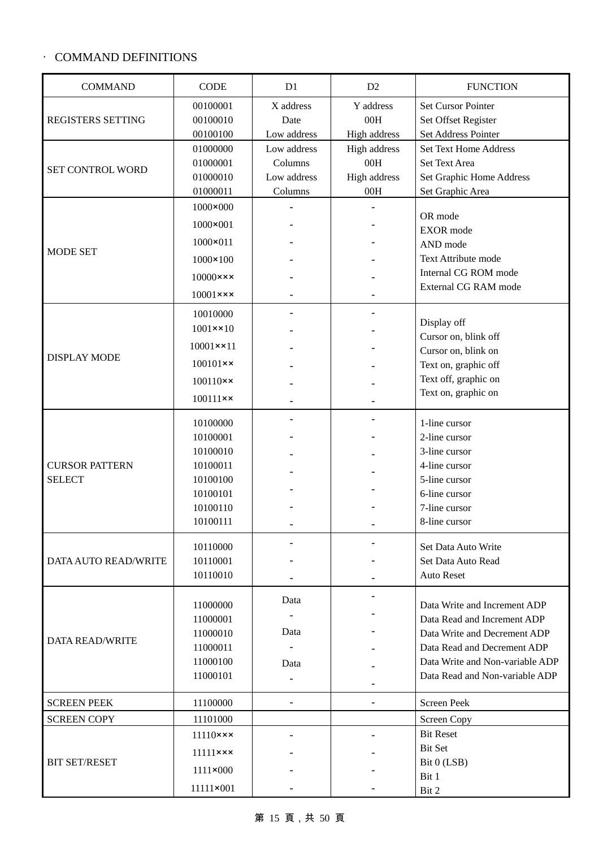### ‧ COMMAND DEFINITIONS

| <b>COMMAND</b>         | <b>CODE</b>               | D1          | D2           | <b>FUNCTION</b>                     |
|------------------------|---------------------------|-------------|--------------|-------------------------------------|
|                        | 00100001                  | X address   | Y address    | <b>Set Cursor Pointer</b>           |
| REGISTERS SETTING      | 00100010                  | Date        | 00H          | Set Offset Register                 |
|                        | 00100100                  | Low address | High address | Set Address Pointer                 |
|                        | 01000000                  | Low address | High address | <b>Set Text Home Address</b>        |
|                        | 01000001                  | Columns     | 00H          | Set Text Area                       |
| SET CONTROL WORD       | 01000010                  | Low address | High address | Set Graphic Home Address            |
|                        | 01000011                  | Columns     | 00H          | Set Graphic Area                    |
|                        | 1000×000                  |             |              |                                     |
|                        | 1000×001                  |             |              | OR mode<br><b>EXOR</b> mode         |
|                        | 1000×011                  |             |              | AND mode                            |
| <b>MODE SET</b>        | $1000 \times 100$         |             |              | Text Attribute mode                 |
|                        |                           |             |              | Internal CG ROM mode                |
|                        | $10000 \times x \times$   |             |              | External CG RAM mode                |
|                        | $10001$ ×××               |             |              |                                     |
|                        | 10010000                  |             |              |                                     |
|                        | $1001 \times 10$          |             |              | Display off<br>Cursor on, blink off |
|                        | $10001 \times 11$         |             |              | Cursor on, blink on                 |
| <b>DISPLAY MODE</b>    | $100101 \times x$         |             |              | Text on, graphic off                |
|                        |                           |             |              | Text off, graphic on                |
|                        | $100110 \times x$         |             |              | Text on, graphic on                 |
|                        | $100111 \times x$         |             |              |                                     |
|                        | 10100000                  |             |              | 1-line cursor                       |
|                        | 10100001                  |             |              | 2-line cursor                       |
|                        | 10100010                  |             |              | 3-line cursor                       |
| <b>CURSOR PATTERN</b>  | 10100011                  |             |              | 4-line cursor                       |
| <b>SELECT</b>          | 10100100                  |             |              | 5-line cursor                       |
|                        | 10100101                  |             |              | 6-line cursor                       |
|                        | 10100110                  |             |              | 7-line cursor                       |
|                        | 10100111                  |             |              | 8-line cursor                       |
|                        | 10110000                  |             |              | Set Data Auto Write                 |
| DATA AUTO READ/WRITE   | 10110001                  |             |              | Set Data Auto Read                  |
|                        | 10110010                  |             |              | <b>Auto Reset</b>                   |
|                        |                           |             |              |                                     |
|                        | 11000000                  | Data        |              | Data Write and Increment ADP        |
|                        | 11000001                  |             |              | Data Read and Increment ADP         |
|                        | 11000010                  | Data        |              | Data Write and Decrement ADP        |
| <b>DATA READ/WRITE</b> | 11000011                  |             |              | Data Read and Decrement ADP         |
|                        | 11000100                  |             |              | Data Write and Non-variable ADP     |
|                        | 11000101                  | Data        |              | Data Read and Non-variable ADP      |
|                        |                           |             |              |                                     |
| <b>SCREEN PEEK</b>     | 11100000                  | ÷           |              | Screen Peek                         |
| <b>SCREEN COPY</b>     | 11101000                  |             |              | <b>Screen Copy</b>                  |
|                        | $11110$ $\times$ $\times$ |             |              | <b>Bit Reset</b>                    |
|                        | $11111$ $\times$ $\times$ |             |              | <b>Bit Set</b>                      |
| <b>BIT SET/RESET</b>   |                           |             |              | Bit 0 (LSB)                         |
|                        | $1111 \times 000$         |             |              | Bit 1                               |
|                        | 11111×001                 |             |              | Bit 2                               |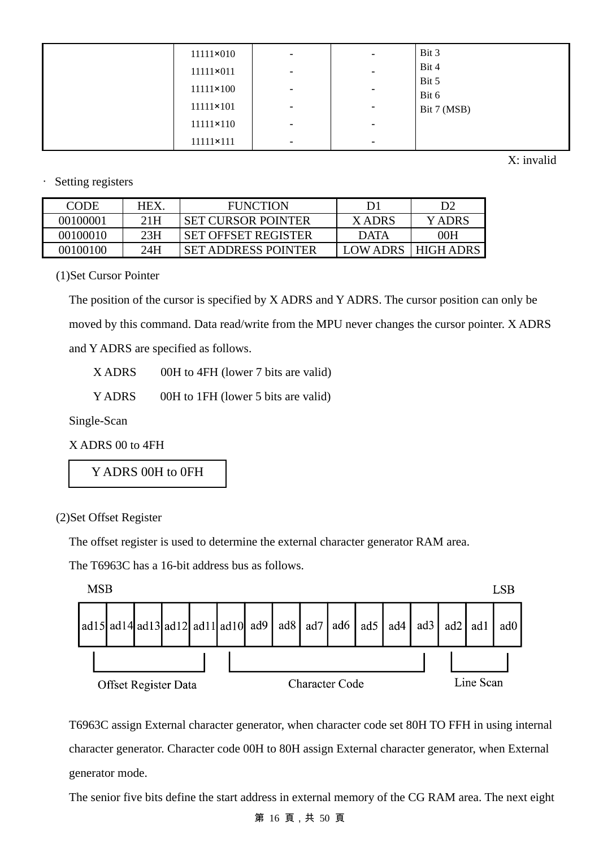| $11111 \times 010$ | $\sim$                   | $\overline{\phantom{a}}$     | Bit 3                |
|--------------------|--------------------------|------------------------------|----------------------|
| 11111×011          | $\overline{\phantom{a}}$ | $\overline{\phantom{a}}$     | Bit 4                |
| $11111 \times 100$ | $\overline{\phantom{a}}$ | $\overline{\phantom{a}}$     | Bit 5                |
| $11111 \times 101$ | $\overline{\phantom{a}}$ | $\overline{\phantom{a}}$     | Bit 6<br>Bit 7 (MSB) |
| $11111 \times 110$ | $\overline{\phantom{a}}$ | $\qquad \qquad \blacksquare$ |                      |
|                    |                          |                              |                      |
| 11111×111          | $\overline{\phantom{a}}$ | $\overline{\phantom{0}}$     |                      |

X: invalid

Setting registers

| <b>CODE</b> | HEX. | <b>FUNCTION</b>            | D1          | D2          |
|-------------|------|----------------------------|-------------|-------------|
| 00100001    | 21H  | <b>SET CURSOR POINTER</b>  | X ADRS      | Y ADRS      |
| 00100010    | 23H  | <b>SET OFFSET REGISTER</b> | <b>DATA</b> | 00H         |
| 00100100    | 24H  | <b>SET ADDRESS POINTER</b> | LOW ADRS    | I HIGH ADRS |

(1)Set Cursor Pointer

The position of the cursor is specified by X ADRS and Y ADRS. The cursor position can only be moved by this command. Data read/write from the MPU never changes the cursor pointer. X ADRS and Y ADRS are specified as follows.

X ADRS 00H to 4FH (lower 7 bits are valid)

Y ADRS 00H to 1FH (lower 5 bits are valid)

Single-Scan

X ADRS 00 to 4FH

Y ADRS 00H to 0FH

(2)Set Offset Register

The offset register is used to determine the external character generator RAM area.

The T6963C has a 16-bit address bus as follows.



T6963C assign External character generator, when character code set 80H TO FFH in using internal character generator. Character code 00H to 80H assign External character generator, when External generator mode.

The senior five bits define the start address in external memory of the CG RAM area. The next eight

#### 第 16 頁,共 50 頁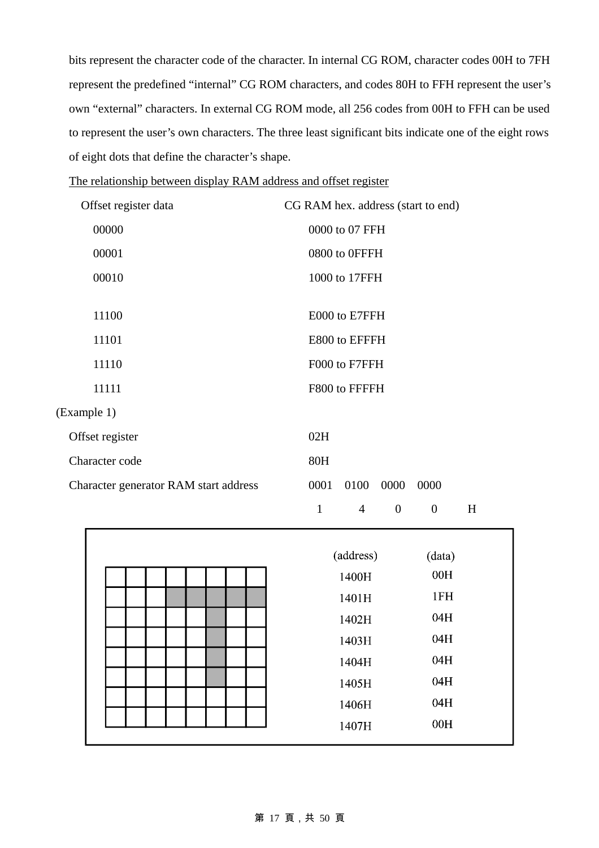bits represent the character code of the character. In internal CG ROM, character codes 00H to 7FH represent the predefined "internal" CG ROM characters, and codes 80H to FFH represent the user's own "external" characters. In external CG ROM mode, all 256 codes from 00H to FFH can be used to represent the user's own characters. The three least significant bits indicate one of the eight rows of eight dots that define the character's shape.

| The relationship between display RAM address and offset register |
|------------------------------------------------------------------|
|------------------------------------------------------------------|

| Offset register data                  | CG RAM hex. address (start to end) |
|---------------------------------------|------------------------------------|
| 00000                                 | 0000 to 07 FFH                     |
| 00001                                 | 0800 to 0FFFH                      |
| 00010                                 | 1000 to 17FFH                      |
|                                       |                                    |
| 11100                                 | E000 to E7FFH                      |
| 11101                                 | E800 to EFFFH                      |
| 11110                                 | F000 to F7FFH                      |
| 11111                                 | F800 to FFFFH                      |
| (Example 1)                           |                                    |
| Offset register                       | 02H                                |
| Character code                        | 80H                                |
| Character generator RAM start address | 0001<br>0100<br>0000<br>0000       |

1 4 0 0 H

| (address) | (data) |
|-----------|--------|
| 1400H     | 00H    |
| 1401H     | 1FH    |
| 1402H     | 04H    |
| 1403H     | 04H    |
| 1404H     | 04H    |
| 1405H     | 04H    |
| 1406H     | 04H    |
| 1407H     | 00H    |

#### 第 17 頁,共 50 頁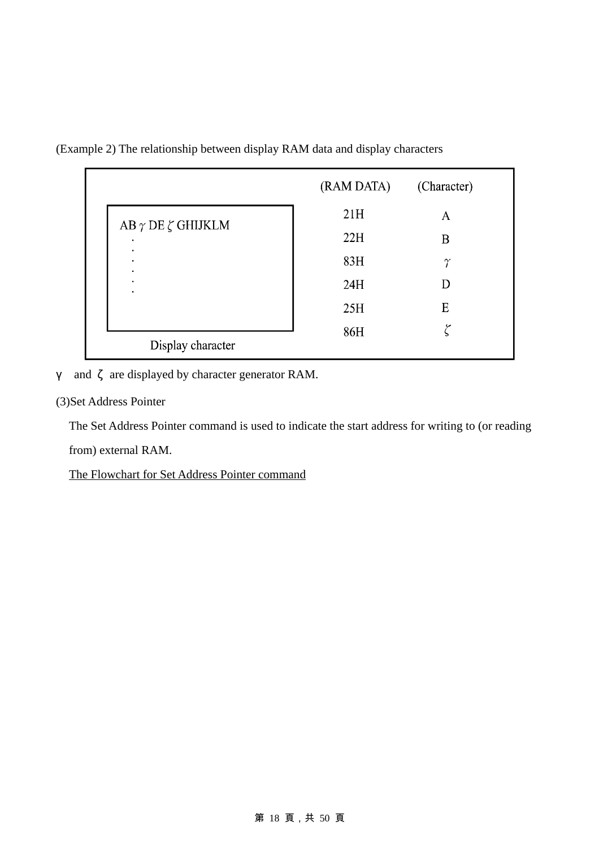|                                | (RAM DATA) | (Character) |
|--------------------------------|------------|-------------|
| AB $\gamma$ DE $\zeta$ GHIJKLM | 21H        | А           |
| ٠                              | 22H        | B           |
| ٠<br>٠<br>٠                    | 83H        | $\gamma$    |
| ٠<br>٠                         | 24H        | D           |
|                                | 25H        | E           |
|                                | 86H        |             |
| Display character              |            |             |

γ and ζ are displayed by character generator RAM.

(3)Set Address Pointer

The Set Address Pointer command is used to indicate the start address for writing to (or reading from) external RAM.

The Flowchart for Set Address Pointer command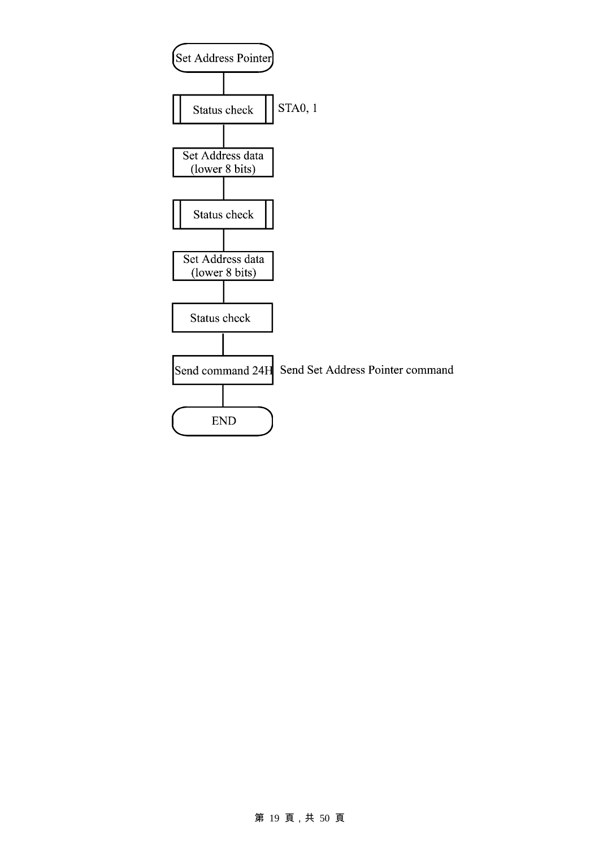

#### 第 19 頁,共 50 頁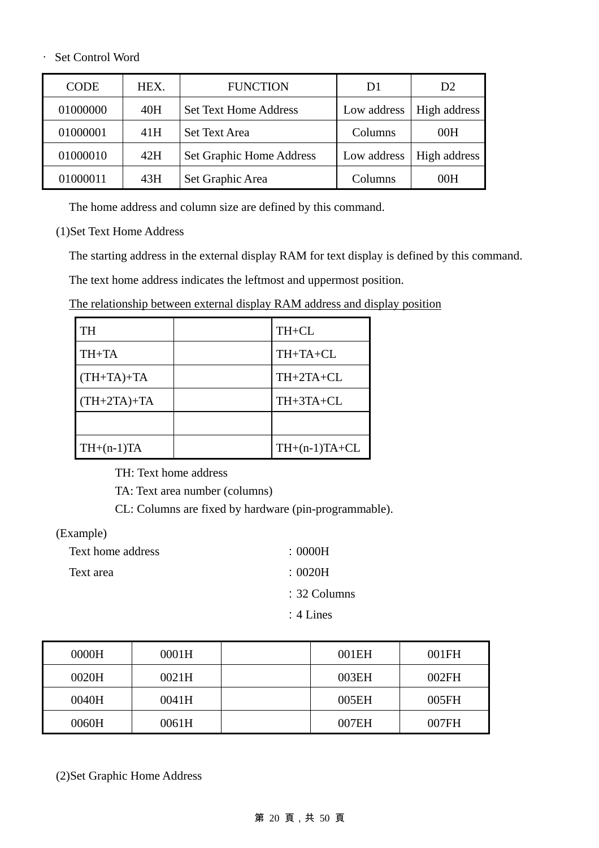#### ‧ Set Control Word

| <b>CODE</b> | HEX. | <b>FUNCTION</b>              | D1          | D <sub>2</sub> |
|-------------|------|------------------------------|-------------|----------------|
| 01000000    | 40H  | <b>Set Text Home Address</b> | Low address | High address   |
| 01000001    | 41H  | <b>Set Text Area</b>         | Columns     | 00H            |
| 01000010    | 42H  | Set Graphic Home Address     | Low address | High address   |
| 01000011    | 43H  | Set Graphic Area             | Columns     | 00H            |

The home address and column size are defined by this command.

(1)Set Text Home Address

The starting address in the external display RAM for text display is defined by this command.

The text home address indicates the leftmost and uppermost position.

The relationship between external display RAM address and display position

| TH            | TH+CL           |
|---------------|-----------------|
| TH+TA         | TH+TA+CL        |
| $(TH+TA)+TA$  | TH+2TA+CL       |
| $(TH+2TA)+TA$ | TH+3TA+CL       |
|               |                 |
| $TH+(n-1)TA$  | $TH+(n-1)TA+CL$ |

TH: Text home address

TA: Text area number (columns)

CL: Columns are fixed by hardware (pin-programmable).

(Example)

Text home address : 0000H Text area : 0020H

:32 Columns

:4 Lines

| 0000H | 0001H | 001EH | 001FH |
|-------|-------|-------|-------|
| 0020H | 0021H | 003EH | 002FH |
| 0040H | 0041H | 005EH | 005FH |
| 0060H | 0061H | 007EH | 007FH |

(2)Set Graphic Home Address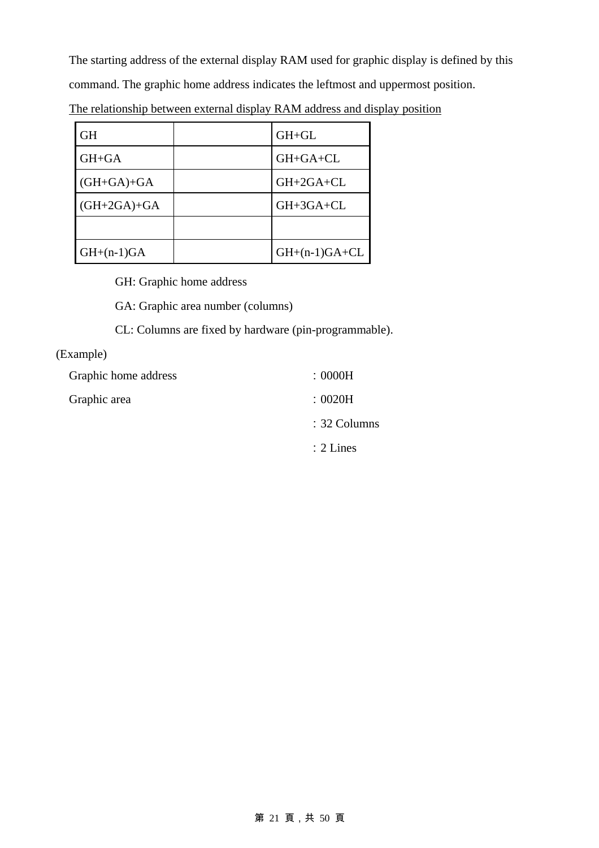The starting address of the external display RAM used for graphic display is defined by this command. The graphic home address indicates the leftmost and uppermost position.

| <b>GH</b>     | $GH+GL$         |
|---------------|-----------------|
| GH+GA         | $GH + GA + CL$  |
| $(GH+GA)+GA$  | GH+2GA+CL       |
| $(GH+2GA)+GA$ | GH+3GA+CL       |
|               |                 |
| $GH+(n-1)GA$  | $GH+(n-1)GA+CL$ |

The relationship between external display RAM address and display position

GH: Graphic home address

GA: Graphic area number (columns)

CL: Columns are fixed by hardware (pin-programmable).

#### (Example)

| Graphic home address | : 0000H                 |
|----------------------|-------------------------|
| Graphic area         | :0020H                  |
|                      | $\therefore$ 32 Columns |
|                      | $\therefore$ 2 Lines    |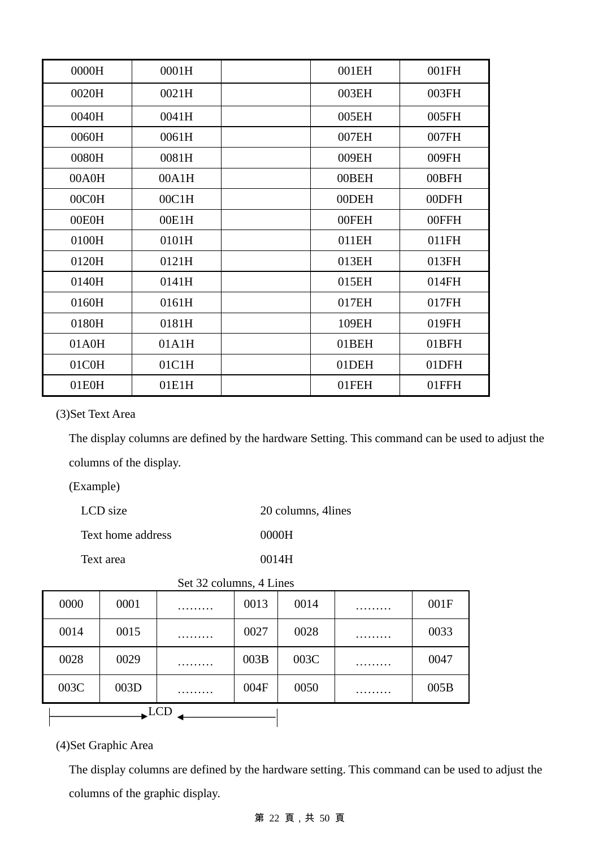| 0000H | 0001H | 001EH | 001FH |
|-------|-------|-------|-------|
| 0020H | 0021H | 003EH | 003FH |
| 0040H | 0041H | 005EH | 005FH |
| 0060H | 0061H | 007EH | 007FH |
| 0080H | 0081H | 009EH | 009FH |
| 00A0H | 00A1H | 00BEH | 00BFH |
| 00C0H | 00C1H | 00DEH | 00DFH |
| 00E0H | 00E1H | 00FEH | 00FFH |
| 0100H | 0101H | 011EH | 011FH |
| 0120H | 0121H | 013EH | 013FH |
| 0140H | 0141H | 015EH | 014FH |
| 0160H | 0161H | 017EH | 017FH |
| 0180H | 0181H | 109EH | 019FH |
| 01A0H | 01A1H | 01BEH | 01BFH |
| 01C0H | 01C1H | 01DEH | 01DFH |
| 01E0H | 01E1H | 01FEH | 01FFH |

(3)Set Text Area

The display columns are defined by the hardware Setting. This command can be used to adjust the columns of the display.

(Example)

| LCD size          | 20 columns, 4 lines |
|-------------------|---------------------|
| Text home address | 0000H               |
| Text area         | 0014H               |

| 0000 | 0001 | . | 0013 | 0014 | . | 001F |  |  |
|------|------|---|------|------|---|------|--|--|
| 0014 | 0015 | . | 0027 | 0028 | . | 0033 |  |  |
| 0028 | 0029 | . | 003B | 003C | . | 0047 |  |  |
| 003C | 003D | . | 004F | 0050 | . | 005B |  |  |
| LCD  |      |   |      |      |   |      |  |  |

Set 32 columns, 4 Lines

(4)Set Graphic Area

The display columns are defined by the hardware setting. This command can be used to adjust the columns of the graphic display.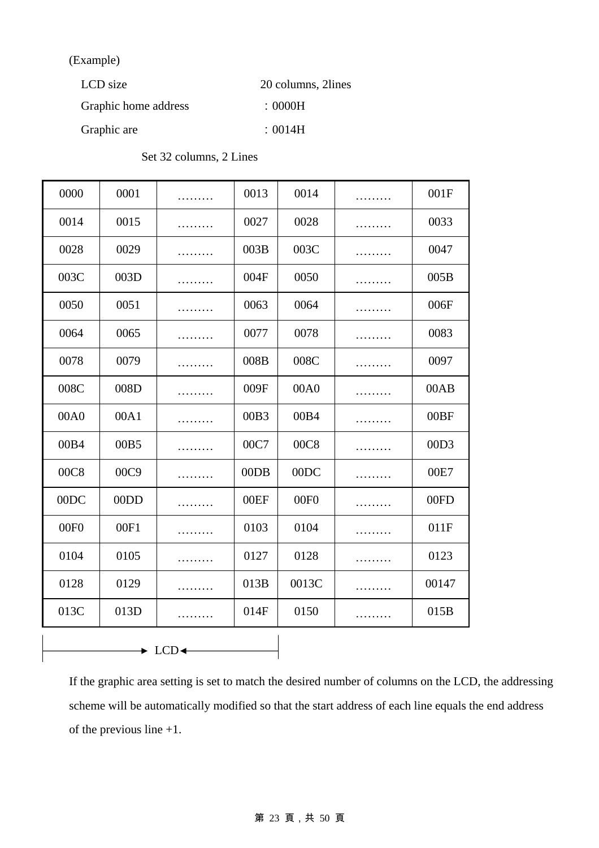(Example)

 $\mathsf{r}$ 

| LCD size             | 20 columns, 2lines   |
|----------------------|----------------------|
| Graphic home address | $\pm 0000\mathrm{H}$ |
| Graphic are          | :0014H               |

| 0000                                           | 0001 |   | 0013 | 0014             |   | 001F  |
|------------------------------------------------|------|---|------|------------------|---|-------|
| 0014                                           | 0015 | . | 0027 | 0028             | . | 0033  |
| 0028                                           | 0029 | . | 003B | 003C             | . | 0047  |
| 003C                                           | 003D |   | 004F | 0050             | . | 005B  |
| 0050                                           | 0051 | . | 0063 | 0064             | . | 006F  |
| 0064                                           | 0065 | . | 0077 | 0078             | . | 0083  |
| 0078                                           | 0079 | . | 008B | 008C             | . | 0097  |
| 008C                                           | 008D | . | 009F | 00A0             | . | 00AB  |
| 00A0                                           | 00A1 |   | 00B3 | 00B4             |   | 00BF  |
| 00B4                                           | 00B5 |   | 00C7 | 00C8             |   | 00D3  |
| 00C8                                           | 00C9 | . | 00DB | 00DC             | . | 00E7  |
| 00DC                                           | 00DD |   | 00EF | 00F <sub>0</sub> |   | 00FD  |
| 00F <sub>0</sub>                               | 00F1 | . | 0103 | 0104             | . | 011F  |
| 0104                                           | 0105 |   | 0127 | 0128             |   | 0123  |
| 0128                                           | 0129 |   | 013B | 0013C            |   | 00147 |
| 013C                                           | 013D |   | 014F | 0150             | . | 015B  |
| $\blacktriangleright$ LCD $\blacktriangleleft$ |      |   |      |                  |   |       |

If the graphic area setting is set to match the desired number of columns on the LCD, the addressing scheme will be automatically modified so that the start address of each line equals the end address of the previous line +1.

#### 第 23 頁,共 50 頁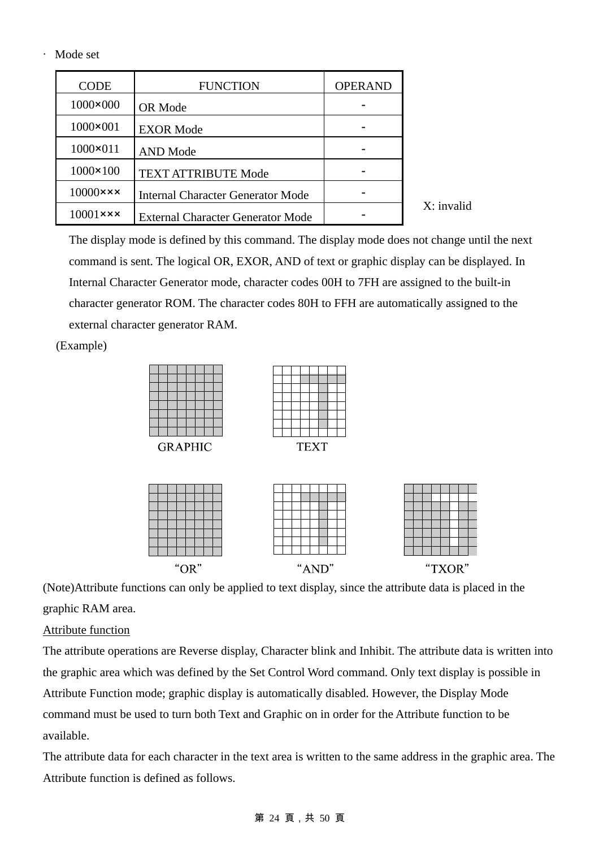#### ‧ Mode set

| <b>CODE</b>               | <b>FUNCTION</b>                          | <b>OPERAND</b> |
|---------------------------|------------------------------------------|----------------|
| $1000 \times 000$         | OR Mode                                  |                |
| $1000 \times 001$         | <b>EXOR Mode</b>                         |                |
| $1000 \times 011$         | <b>AND</b> Mode                          |                |
| $1000 \times 100$         | <b>TEXT ATTRIBUTE Mode</b>               |                |
| $10000 \times x \times$   | <b>Internal Character Generator Mode</b> |                |
| $10001$ $\times$ $\times$ | <b>External Character Generator Mode</b> |                |

The display mode is defined by this command. The display mode does not change until the next command is sent. The logical OR, EXOR, AND of text or graphic display can be displayed. In Internal Character Generator mode, character codes 00H to 7FH are assigned to the built-in character generator ROM. The character codes 80H to FFH are automatically assigned to the external character generator RAM.

X: invalid

(Example)



(Note)Attribute functions can only be applied to text display, since the attribute data is placed in the graphic RAM area.

### Attribute function

The attribute operations are Reverse display, Character blink and Inhibit. The attribute data is written into the graphic area which was defined by the Set Control Word command. Only text display is possible in Attribute Function mode; graphic display is automatically disabled. However, the Display Mode command must be used to turn both Text and Graphic on in order for the Attribute function to be available.

The attribute data for each character in the text area is written to the same address in the graphic area. The Attribute function is defined as follows.

#### 第 24 頁,共 50 頁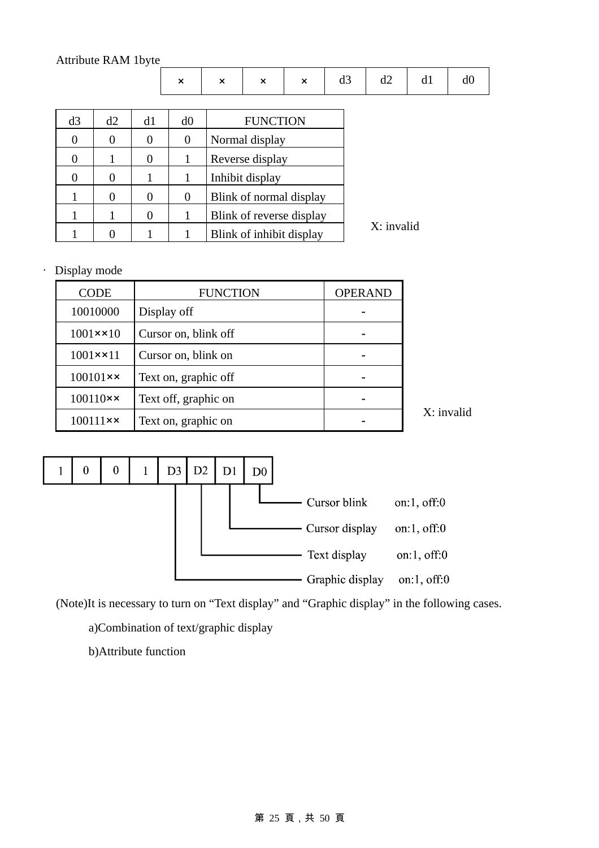### Attribute RAM 1byte

|                |    |                | $\boldsymbol{\mathsf{x}}$ | × | $\boldsymbol{\mathsf{x}}$ | $\mathbf{x}$             | d3 | d2         | d1 | d0 |
|----------------|----|----------------|---------------------------|---|---------------------------|--------------------------|----|------------|----|----|
|                |    |                |                           |   |                           |                          |    |            |    |    |
| d3             | d2 | d1             | d0                        |   | <b>FUNCTION</b>           |                          |    |            |    |    |
| $\overline{0}$ | 0  | $\theta$       | $\overline{0}$            |   | Normal display            |                          |    |            |    |    |
| $\overline{0}$ | 1  | $\overline{0}$ | 1                         |   | Reverse display           |                          |    |            |    |    |
| $\overline{0}$ | 0  | 1              | 1                         |   | Inhibit display           |                          |    |            |    |    |
|                | 0  | $\overline{0}$ | $\overline{0}$            |   |                           | Blink of normal display  |    |            |    |    |
|                |    | $\overline{0}$ | 1                         |   |                           | Blink of reverse display |    |            |    |    |
|                | 0  |                |                           |   |                           | Blink of inhibit display |    | X: invalid |    |    |

‧ Display mode

| CODE              | <b>FUNCTION</b>      | <b>OPERAND</b> |
|-------------------|----------------------|----------------|
| 10010000          | Display off          |                |
| $1001 \times 10$  | Cursor on, blink off |                |
| $1001 \times 11$  | Cursor on, blink on  |                |
| $100101 \times x$ | Text on, graphic off |                |
| $100110 \times x$ | Text off, graphic on |                |
| $100111 \times x$ | Text on, graphic on  |                |





(Note)It is necessary to turn on "Text display" and "Graphic display" in the following cases.

a)Combination of text/graphic display

b)Attribute function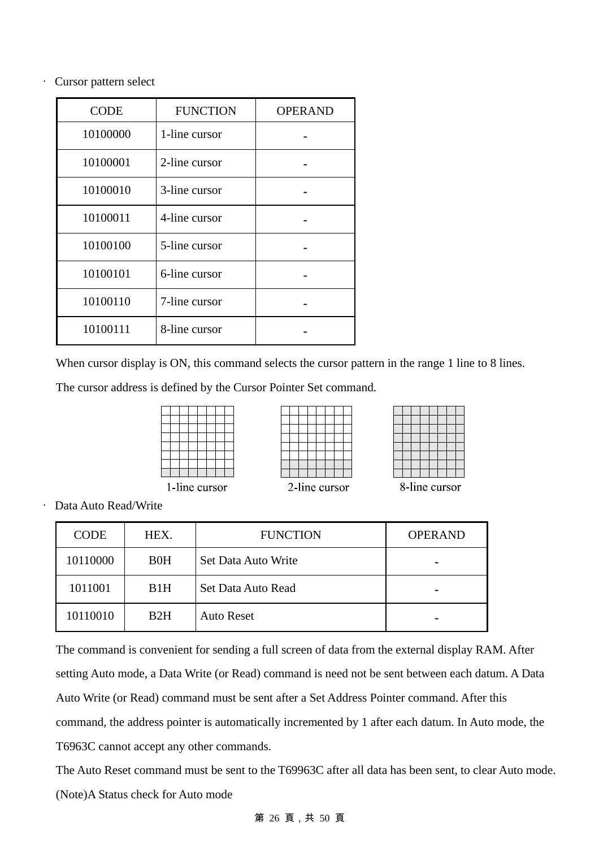‧ Cursor pattern select

| <b>CODE</b> | <b>FUNCTION</b> | <b>OPERAND</b> |
|-------------|-----------------|----------------|
| 10100000    | 1-line cursor   |                |
| 10100001    | 2-line cursor   |                |
| 10100010    | 3-line cursor   |                |
| 10100011    | 4-line cursor   |                |
| 10100100    | 5-line cursor   |                |
| 10100101    | 6-line cursor   |                |
| 10100110    | 7-line cursor   |                |
| 10100111    | 8-line cursor   |                |

When cursor display is ON, this command selects the cursor pattern in the range 1 line to 8 lines.

The cursor address is defined by the Cursor Pointer Set command.

| -line cursor |  |  |  |  |  |  |
|--------------|--|--|--|--|--|--|



8-line cursor

‧ Data Auto Read/Write

| <b>CODE</b> | HEX.             | <b>FUNCTION</b>     | <b>OPERAND</b> |
|-------------|------------------|---------------------|----------------|
| 10110000    | B <sub>0</sub> H | Set Data Auto Write |                |
| 1011001     | B <sub>1</sub> H | Set Data Auto Read  |                |
| 10110010    | B2H              | <b>Auto Reset</b>   |                |

The command is convenient for sending a full screen of data from the external display RAM. After setting Auto mode, a Data Write (or Read) command is need not be sent between each datum. A Data Auto Write (or Read) command must be sent after a Set Address Pointer command. After this command, the address pointer is automatically incremented by 1 after each datum. In Auto mode, the T6963C cannot accept any other commands.

The Auto Reset command must be sent to the T69963C after all data has been sent, to clear Auto mode. (Note)A Status check for Auto mode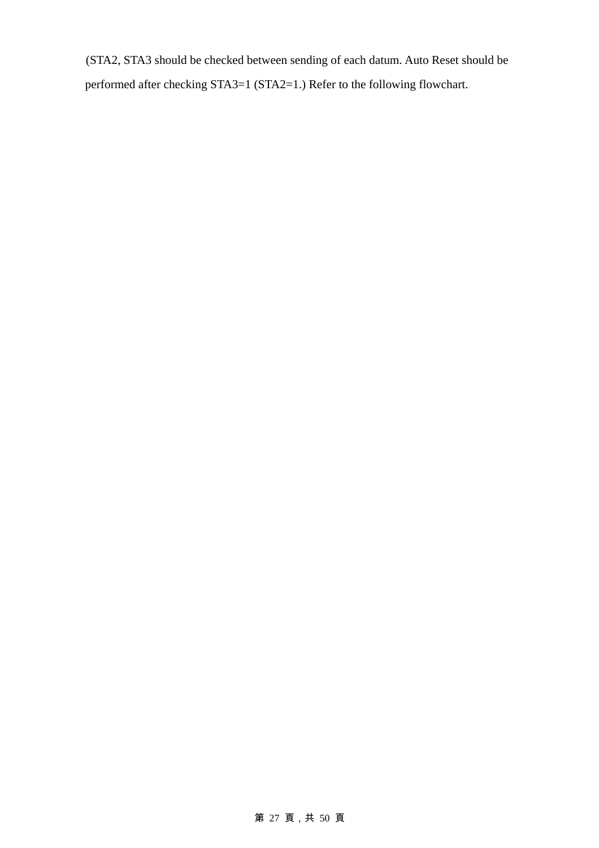(STA2, STA3 should be checked between sending of each datum. Auto Reset should be performed after checking STA3=1 (STA2=1.) Refer to the following flowchart.

### 第 27 頁,共 50 頁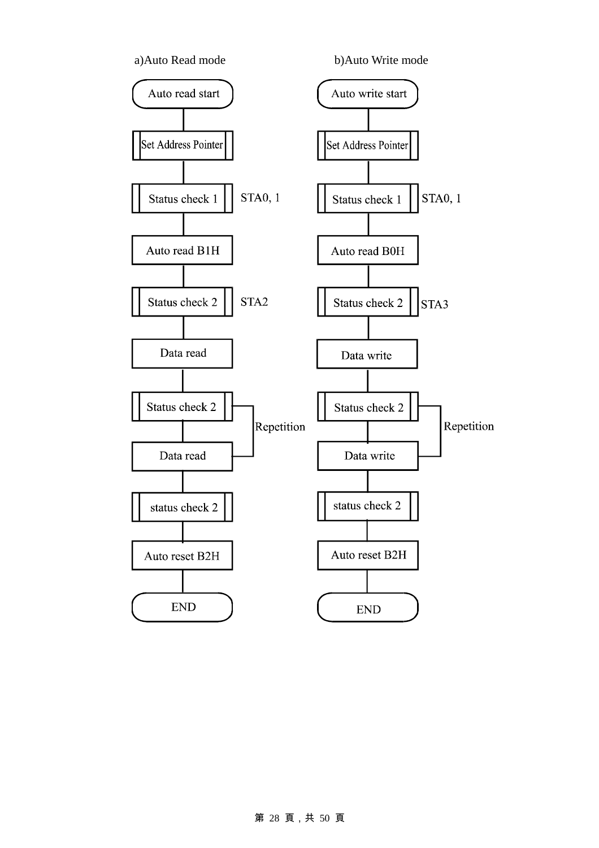

#### 第 28 頁,共 50 頁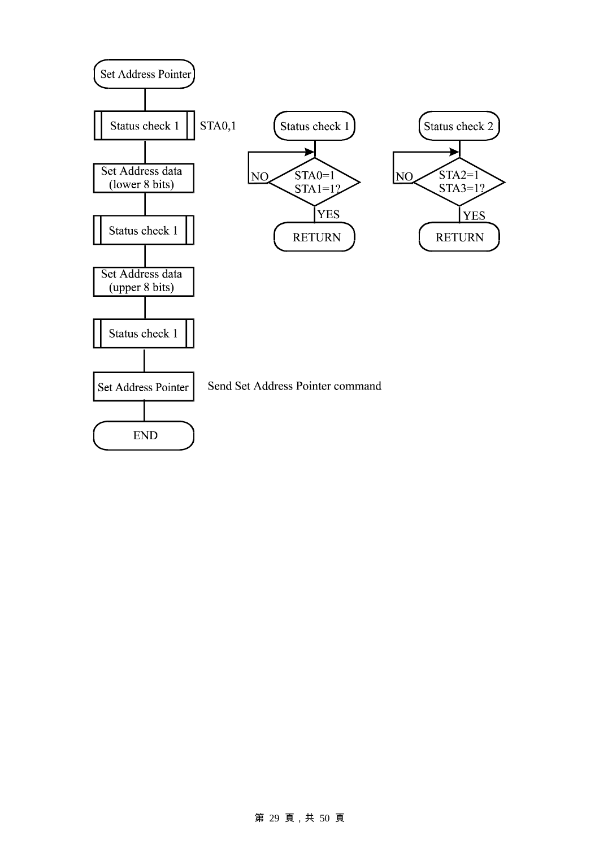

#### 第 29 頁,共 50 頁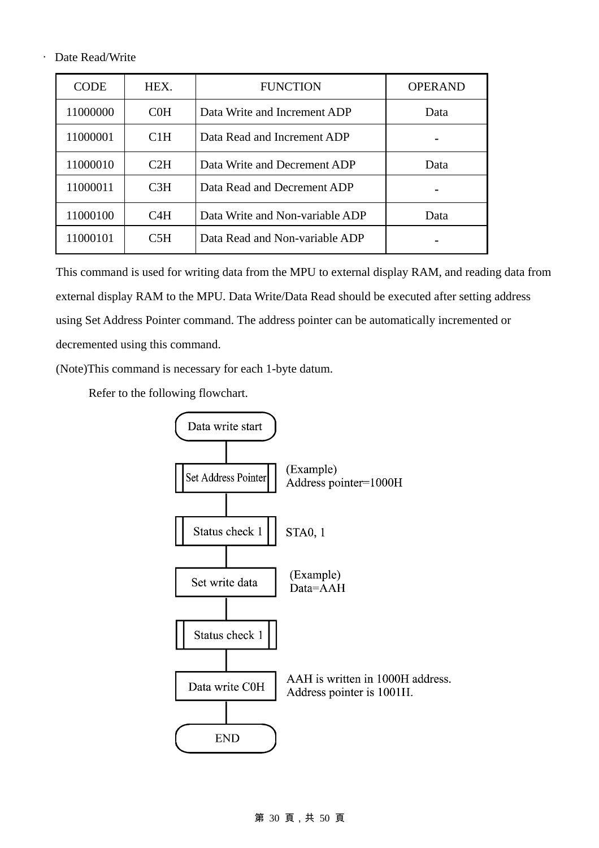#### ‧ Date Read/Write

| <b>CODE</b> | HEX.             | <b>FUNCTION</b>                 | <b>OPERAND</b> |
|-------------|------------------|---------------------------------|----------------|
| 11000000    | C <sub>0</sub> H | Data Write and Increment ADP    | Data           |
| 11000001    | C1H              | Data Read and Increment ADP     |                |
| 11000010    | C2H              | Data Write and Decrement ADP    | Data           |
| 11000011    | C <sub>3H</sub>  | Data Read and Decrement ADP     |                |
| 11000100    | C4H              | Data Write and Non-variable ADP | Data           |
| 11000101    | C5H              | Data Read and Non-variable ADP  |                |

This command is used for writing data from the MPU to external display RAM, and reading data from external display RAM to the MPU. Data Write/Data Read should be executed after setting address using Set Address Pointer command. The address pointer can be automatically incremented or decremented using this command.

(Note)This command is necessary for each 1-byte datum.

Refer to the following flowchart.

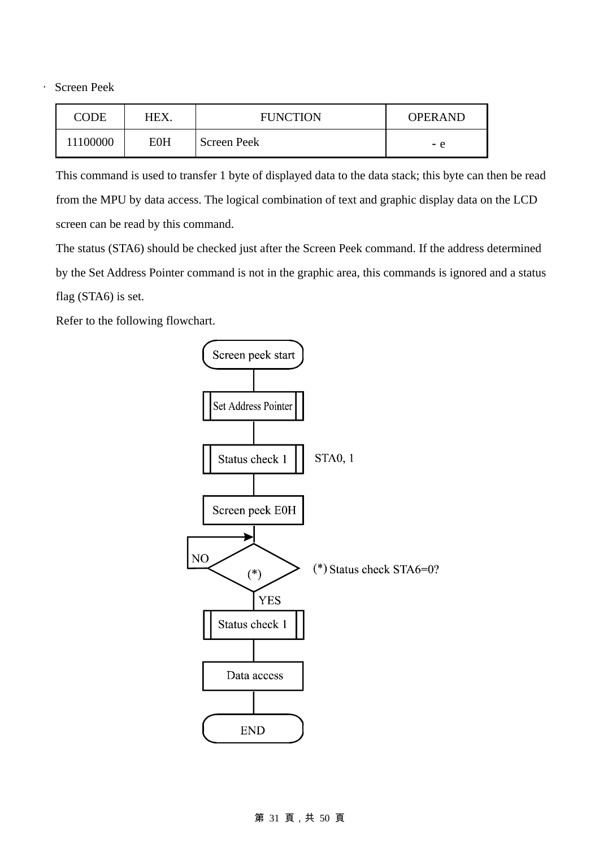‧ Screen Peek

| CODE     | HEX.       | <b>FUNCTION</b> | <b>OPERAND</b> |
|----------|------------|-----------------|----------------|
| 11100000 | <b>E0H</b> | Screen Peek     | - e            |

This command is used to transfer 1 byte of displayed data to the data stack; this byte can then be read from the MPU by data access. The logical combination of text and graphic display data on the LCD screen can be read by this command.

The status (STA6) should be checked just after the Screen Peek command. If the address determined by the Set Address Pointer command is not in the graphic area, this commands is ignored and a status flag (STA6) is set.

Refer to the following flowchart.



#### 第 31 頁,共 50 頁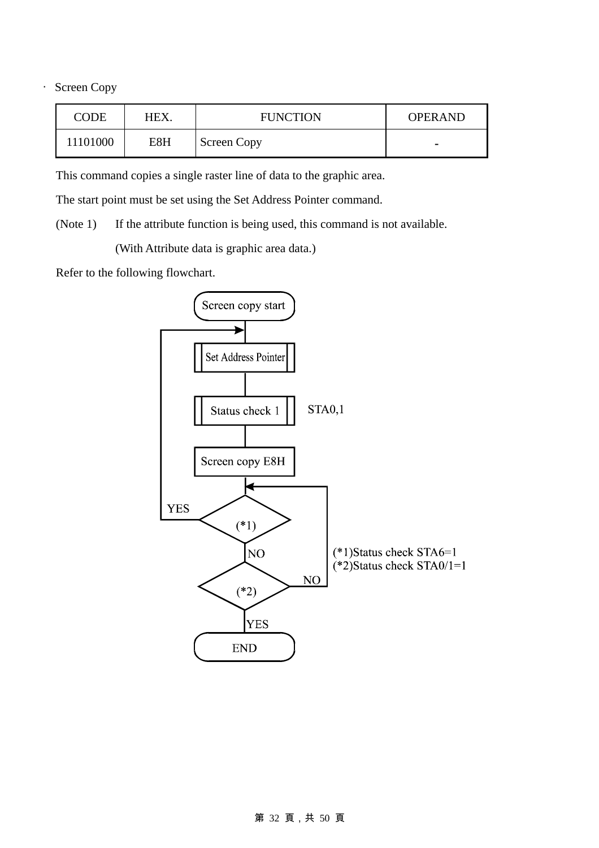‧ Screen Copy

| CODE     | HEX. | <b>FUNCTION</b>    | <b>OPERAND</b>           |
|----------|------|--------------------|--------------------------|
| 11101000 | E8H  | <b>Screen Copy</b> | $\overline{\phantom{0}}$ |

This command copies a single raster line of data to the graphic area.

The start point must be set using the Set Address Pointer command.

(Note 1) If the attribute function is being used, this command is not available.

(With Attribute data is graphic area data.)

Refer to the following flowchart.



### 第 32 頁,共 50 頁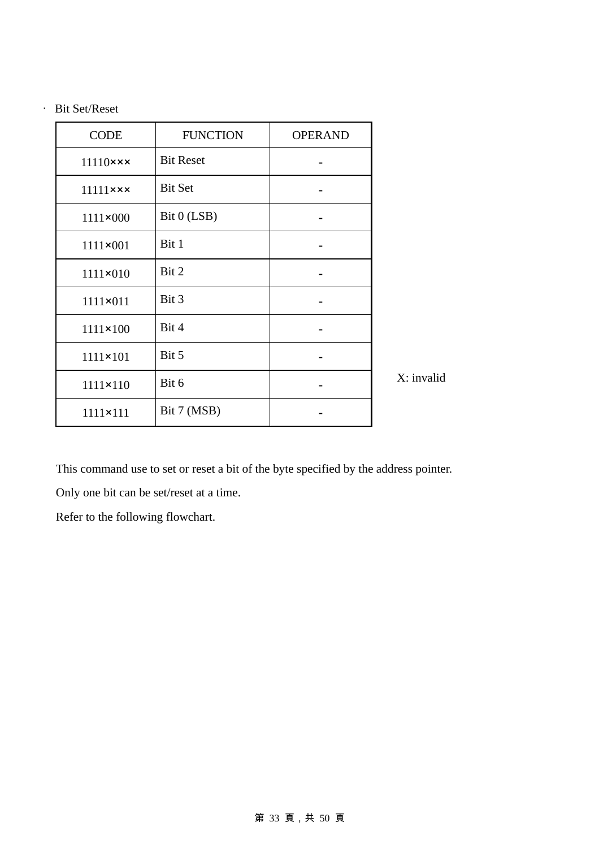‧ Bit Set/Reset

| <b>CODE</b>               | <b>FUNCTION</b>  | <b>OPERAND</b> |              |
|---------------------------|------------------|----------------|--------------|
| $11110$ $\times$ $\times$ | <b>Bit Reset</b> |                |              |
| $11111$ xxx               | <b>Bit Set</b>   |                |              |
| $1111 \times 000$         | Bit 0 (LSB)      |                |              |
| 1111×001                  | Bit 1            |                |              |
| $1111 \times 010$         | Bit 2            |                |              |
| 1111×011                  | Bit 3            |                |              |
| $1111 \times 100$         | Bit 4            |                |              |
| $1111 \times 101$         | Bit 5            |                |              |
| $1111 \times 110$         | Bit 6            |                | $X:$ invalid |
| $1111 \times 111$         | Bit 7 (MSB)      |                |              |

This command use to set or reset a bit of the byte specified by the address pointer.

Only one bit can be set/reset at a time.

Refer to the following flowchart.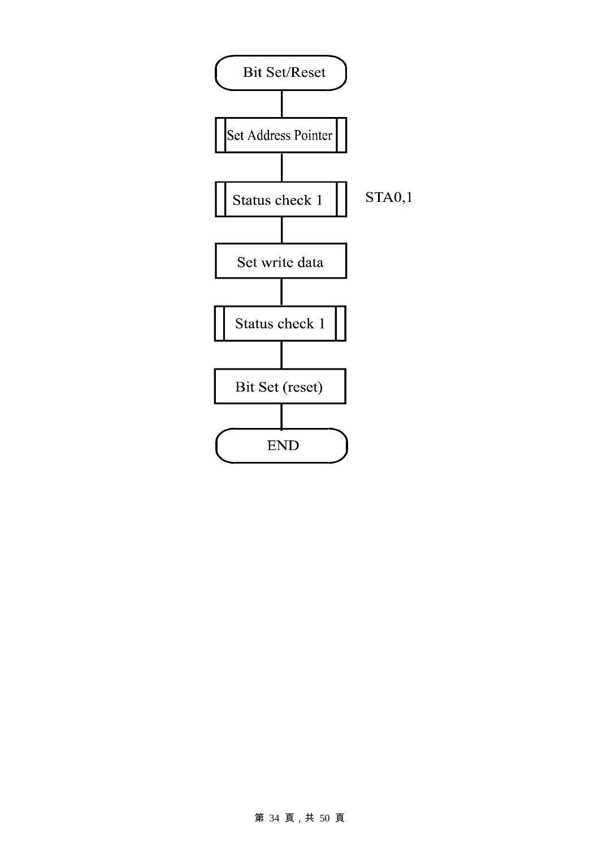

#### 第 34 頁,共 50 頁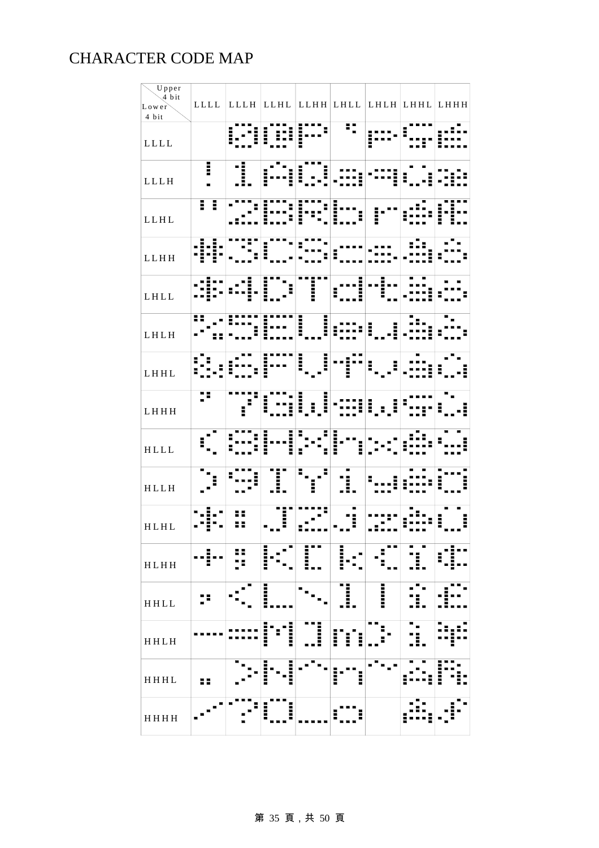### CHARACTER CODE MAP

| Upper<br>4 bit<br>Lower<br>4 bit |                | LLLL LLLH LLHL LLHH LHLL LHLH LHHL LHHH |                   |                      |               |                    |   |
|----------------------------------|----------------|-----------------------------------------|-------------------|----------------------|---------------|--------------------|---|
| LLLL                             |                |                                         | H                 |                      | H             | İ                  |   |
| LLLH                             | I              |                                         |                   |                      |               |                    |   |
| LLHL                             | Ħ              |                                         |                   |                      |               |                    |   |
| LLHH                             |                |                                         |                   |                      |               |                    |   |
| LHLL                             |                | ۵.                                      |                   | İ                    | Ē             |                    |   |
| LHLH                             |                |                                         |                   | <b>THEFT</b><br>Ī    | :::: <br>I    |                    |   |
| LHHL                             |                |                                         |                   | , 1111<br>1<br>11111 | Til           | ŧ                  |   |
| LHHH                             | Ŧ              |                                         | l                 | i,i                  |               | $\vert \vert$<br>I |   |
| $\verb HLLL $                    |                | $\blacksquare$                          | i                 |                      |               |                    |   |
| HLLH                             |                |                                         |                   |                      |               |                    |   |
| HLHL                             | $\blacksquare$ | 88                                      | нñ                |                      | Ī             |                    | I |
| HLHH                             | i<br>▉         | 55                                      | в<br><b>THEFT</b> | п<br>i<br>Sanad<br>  | i             | . .                |   |
| HHLL                             |                |                                         | <u>I</u>          |                      | ■<br>I<br>. . | l                  |   |
| <b>HHLH</b>                      |                |                                         | i<br>I<br>İ       | I                    | l<br>I<br>I   |                    |   |
| HHHL                             | H              |                                         | I<br>l            |                      | İ<br>I        |                    | l |
| HHHH                             |                | ▌                                       | i<br>į            |                      |               |                    |   |

### 第 35 頁,共 50 頁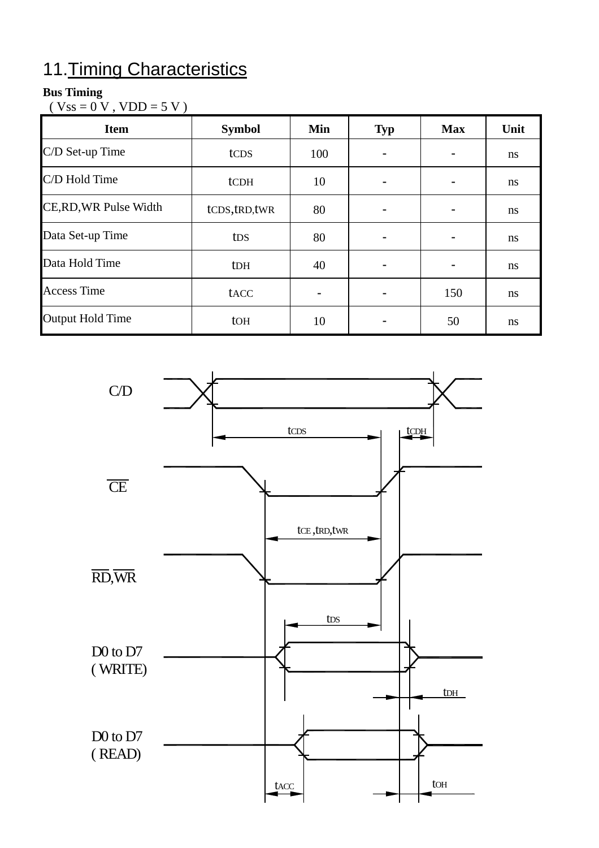# 11.Timing Characteristics

### **Bus Timing**

 $(Vss = 0 V, VDD = 5 V)$ 

| <b>Item</b>             | <b>Symbol</b>   | Min | <b>Typ</b> | <b>Max</b> | Unit          |
|-------------------------|-----------------|-----|------------|------------|---------------|
| C/D Set-up Time         | tcps            | 100 |            |            | <sub>ns</sub> |
| C/D Hold Time           | tCDH            | 10  |            |            | ns            |
| CE, RD, WR Pulse Width  | tCDS,tRD,tWR    | 80  |            |            | ns            |
| Data Set-up Time        | t <sub>DS</sub> | 80  |            |            | <sub>ns</sub> |
| Data Hold Time          | <b>tDH</b>      | 40  |            |            | ns            |
| <b>Access Time</b>      | tacc            |     |            | 150        | <sub>ns</sub> |
| <b>Output Hold Time</b> | to <sub>H</sub> | 10  |            | 50         | ns            |

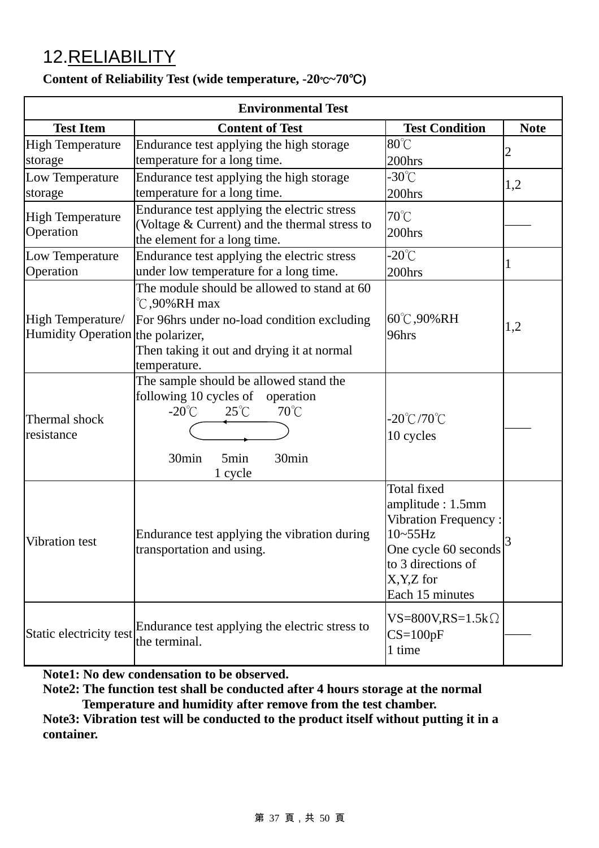# 12.RELIABILITY

|  | Content of Reliability Test (wide temperature, $-20^{\circ}C^{-70^{\circ}C}$ ) |  |
|--|--------------------------------------------------------------------------------|--|
|--|--------------------------------------------------------------------------------|--|

| <b>Environmental Test</b>                              |                                                                                                                                                                                       |                                                                                                                                                              |             |  |  |
|--------------------------------------------------------|---------------------------------------------------------------------------------------------------------------------------------------------------------------------------------------|--------------------------------------------------------------------------------------------------------------------------------------------------------------|-------------|--|--|
| <b>Test Item</b>                                       | <b>Content of Test</b>                                                                                                                                                                | <b>Test Condition</b>                                                                                                                                        | <b>Note</b> |  |  |
| <b>High Temperature</b><br>storage                     | Endurance test applying the high storage<br>temperature for a long time.                                                                                                              | 80°C<br>200hrs                                                                                                                                               | 2           |  |  |
| Low Temperature<br>storage                             | Endurance test applying the high storage<br>temperature for a long time.                                                                                                              | $-30^{\circ}$ C<br>200hrs                                                                                                                                    | 1,2         |  |  |
| <b>High Temperature</b><br>Operation                   | Endurance test applying the electric stress<br>(Voltage & Current) and the thermal stress to<br>the element for a long time.                                                          | 70°C<br>200hrs                                                                                                                                               |             |  |  |
| Low Temperature<br>Operation                           | Endurance test applying the electric stress<br>under low temperature for a long time.                                                                                                 | $-20^{\circ}$ C<br>200hrs                                                                                                                                    | 1           |  |  |
| High Temperature/<br>Humidity Operation the polarizer, | The module should be allowed to stand at 60<br>°C,90%RH max<br>For 96hrs under no-load condition excluding<br>Then taking it out and drying it at normal<br>temperature.              | $60^{\circ}$ C, 90% RH<br>96hrs                                                                                                                              | 1,2         |  |  |
| Thermal shock<br>resistance                            | The sample should be allowed stand the<br>following 10 cycles of<br>operation<br>$-20^{\circ}$ C<br>$25^{\circ}$ C<br>$70^{\circ}$ C<br>30min<br>30min<br>5 <sub>min</sub><br>1 cycle | $-20^{\circ}$ C/70 $^{\circ}$ C<br>10 cycles                                                                                                                 |             |  |  |
| Vibration test                                         | Endurance test applying the vibration during<br>transportation and using.                                                                                                             | <b>Total fixed</b><br>amplitude: 1.5mm<br>Vibration Frequency:<br>$10-55$ Hz<br>One cycle 60 seconds<br>to 3 directions of<br>X, Y, Z for<br>Each 15 minutes | 3           |  |  |
| Static electricity test                                | Endurance test applying the electric stress to<br>the terminal.                                                                                                                       | $VS = 800V, RS = 1.5k\Omega$<br>$CS=100pF$<br>1 time                                                                                                         |             |  |  |

**Note1: No dew condensation to be observed.** 

**Note2: The function test shall be conducted after 4 hours storage at the normal Temperature and humidity after remove from the test chamber.** 

**Note3: Vibration test will be conducted to the product itself without putting it in a container.**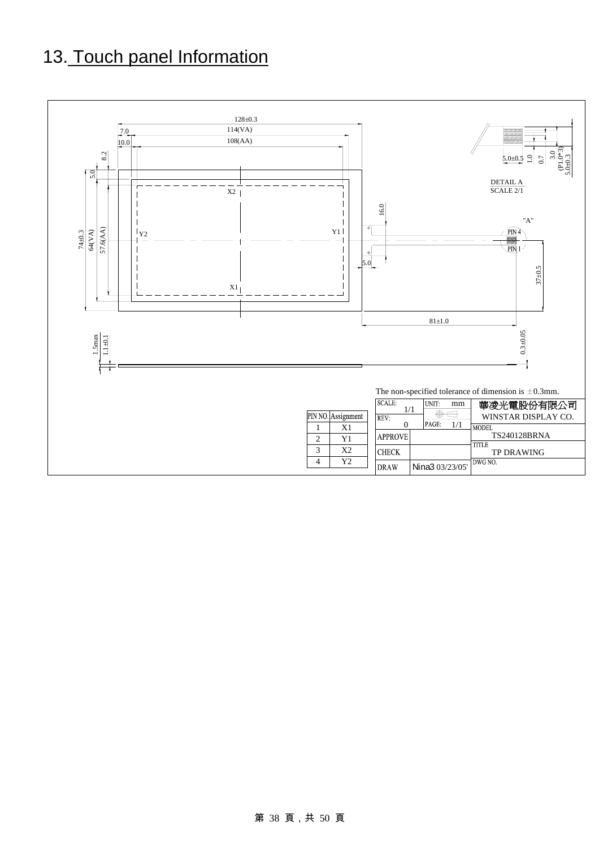# 13. Touch panel Information

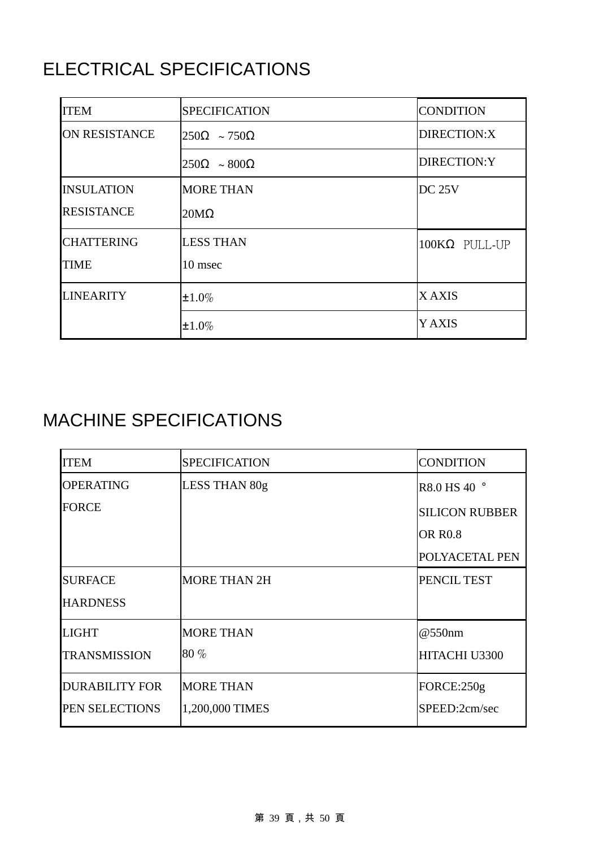# ELECTRICAL SPECIFICATIONS

| <b>ITEM</b>          | <b>SPECIFICATION</b>                   | <b>CONDITION</b>     |
|----------------------|----------------------------------------|----------------------|
| <b>ON RESISTANCE</b> | $\vert 250\Omega \sim 750\Omega \vert$ | DIRECTION:X          |
|                      | $250\Omega \sim 800\Omega$             | DIRECTION:Y          |
| <b>INSULATION</b>    | <b>MORE THAN</b>                       | <b>DC 25V</b>        |
| <b>RESISTANCE</b>    | $20M\Omega$                            |                      |
| <b>CHATTERING</b>    | <b>LESS THAN</b>                       | $100K\Omega$ PULL-UP |
| <b>TIME</b>          | 10 msec                                |                      |
| <b>LINEARITY</b>     | $±1.0\%$                               | <b>XAXIS</b>         |
|                      | $±1.0\%$                               | <b>Y AXIS</b>        |

# MACHINE SPECIFICATIONS

| <b>ITEM</b>           | <b>SPECIFICATION</b> | <b>CONDITION</b>      |
|-----------------------|----------------------|-----------------------|
| <b>OPERATING</b>      | LESS THAN 80g        | R8.0 HS 40 °          |
| <b>FORCE</b>          |                      | <b>SILICON RUBBER</b> |
|                       |                      | <b>OR R0.8</b>        |
|                       |                      | POLYACETAL PEN        |
| <b>SURFACE</b>        | <b>MORE THAN 2H</b>  | PENCIL TEST           |
| <b>HARDNESS</b>       |                      |                       |
| <b>LIGHT</b>          | <b>MORE THAN</b>     | @550nm                |
| <b>TRANSMISSION</b>   | $80\%$               | HITACHI U3300         |
| <b>DURABILITY FOR</b> | <b>MORE THAN</b>     | FORCE:250g            |
| PEN SELECTIONS        | 1,200,000 TIMES      | SPEED:2cm/sec         |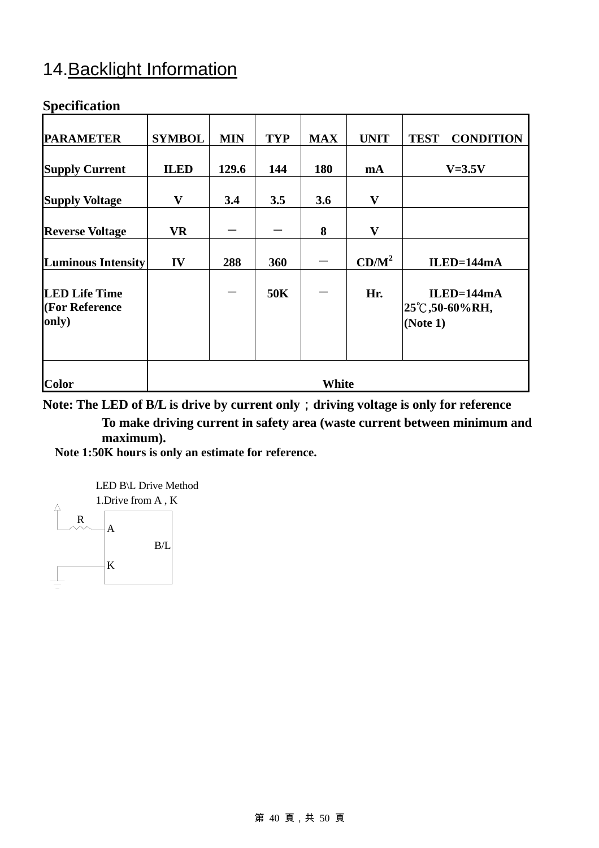# 14.Backlight Information

### **Specification**

| <b>PARAMETER</b>          | <b>SYMBOL</b> | <b>MIN</b> | <b>TYP</b> | <b>MAX</b> | <b>UNIT</b>  | <b>TEST</b><br><b>CONDITION</b>       |
|---------------------------|---------------|------------|------------|------------|--------------|---------------------------------------|
|                           |               |            |            |            |              |                                       |
| <b>Supply Current</b>     | <b>ILED</b>   | 129.6      | 144        | 180        | mA           | $V=3.5V$                              |
|                           |               |            |            |            |              |                                       |
| <b>Supply Voltage</b>     | $\mathbf{V}$  | 3.4        | 3.5        | 3.6        | $\mathbf{V}$ |                                       |
| <b>Reverse Voltage</b>    | <b>VR</b>     |            |            | 8          | $\mathbf{V}$ |                                       |
|                           |               |            |            |            |              |                                       |
| <b>Luminous Intensity</b> | IV            | 288        | 360        |            | $CD/M^2$     | $ILED=144mA$                          |
| <b>LED Life Time</b>      |               |            | 50K        |            | Hr.          | $ILED=144mA$                          |
| (For Reference<br>only)   |               |            |            |            |              | $ 25^{\circ}$ C,50-60%RH,<br>(Note 1) |
|                           |               |            |            |            |              |                                       |
| <b>Color</b>              | <b>White</b>  |            |            |            |              |                                       |

**Note: The LED of B/L is drive by current only**;**driving voltage is only for reference To make driving current in safety area (waste current between minimum and maximum).**

**Note 1:50K hours is only an estimate for reference.** 

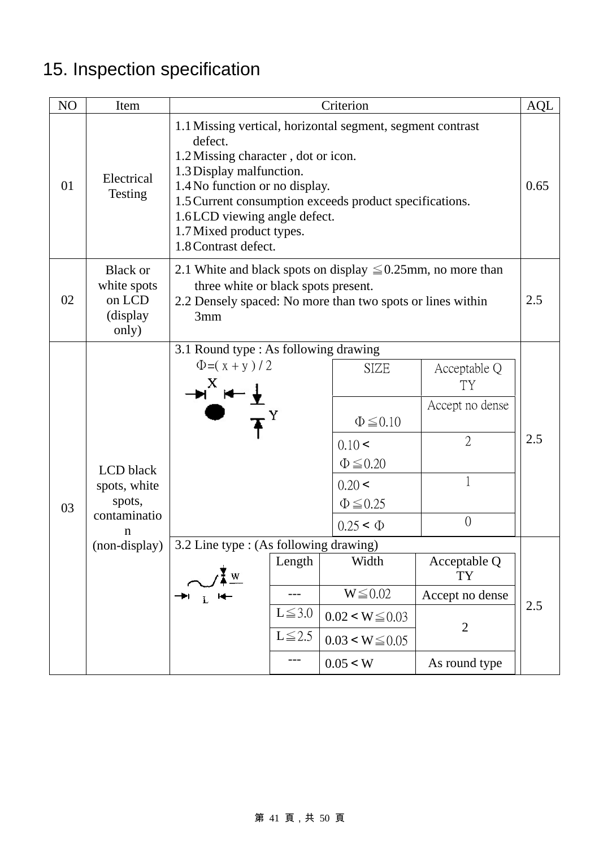# 15. Inspection specification

| NO | Item                                                           | Criterion                                                                                                                                                                                                                                                                                                                 |             |                                                                                                                                                                            |                                                                                                                         |  |  |  |
|----|----------------------------------------------------------------|---------------------------------------------------------------------------------------------------------------------------------------------------------------------------------------------------------------------------------------------------------------------------------------------------------------------------|-------------|----------------------------------------------------------------------------------------------------------------------------------------------------------------------------|-------------------------------------------------------------------------------------------------------------------------|--|--|--|
| 01 | Electrical<br><b>Testing</b>                                   | 1.1 Missing vertical, horizontal segment, segment contrast<br>defect.<br>1.2 Missing character, dot or icon.<br>1.3 Display malfunction.<br>1.4 No function or no display.<br>1.5 Current consumption exceeds product specifications.<br>1.6LCD viewing angle defect.<br>1.7 Mixed product types.<br>1.8 Contrast defect. |             |                                                                                                                                                                            |                                                                                                                         |  |  |  |
| 02 | <b>Black or</b><br>white spots<br>on LCD<br>(display)<br>only) | 2.1 White and black spots on display $\leq 0.25$ mm, no more than<br>three white or black spots present.<br>2.2 Densely spaced: No more than two spots or lines within<br>3mm                                                                                                                                             |             |                                                                                                                                                                            |                                                                                                                         |  |  |  |
| 03 | LCD black<br>spots, white<br>spots,<br>contaminatio<br>n       | 3.1 Round type : As following drawing<br>$\Phi = (x + y)/2$<br>(non-display) $\vert$ 3.2 Line type : (As following drawing)<br>Length<br>$L \le 3.0$                                                                                                                                                                      |             | <b>SIZE</b><br>$\Phi \leq 0.10$<br>$0.10 \le$<br>$\Phi \leq 0.20$<br>$0.20 \le$<br>$\Phi \leq 0.25$<br>$0.25 \leq \Phi$<br>Width<br>$W \leq 0.02$<br>$0.02 \le W \le 0.03$ | Acceptable Q<br>TY<br>Accept no dense<br>$\overline{2}$<br>1<br>$\overline{0}$<br>Acceptable Q<br>TY<br>Accept no dense |  |  |  |
|    |                                                                |                                                                                                                                                                                                                                                                                                                           | $L \le 2.5$ | $0.03 \le W \le 0.05$<br>0.05 < W                                                                                                                                          | As round type                                                                                                           |  |  |  |

### 第 41 頁,共 50 頁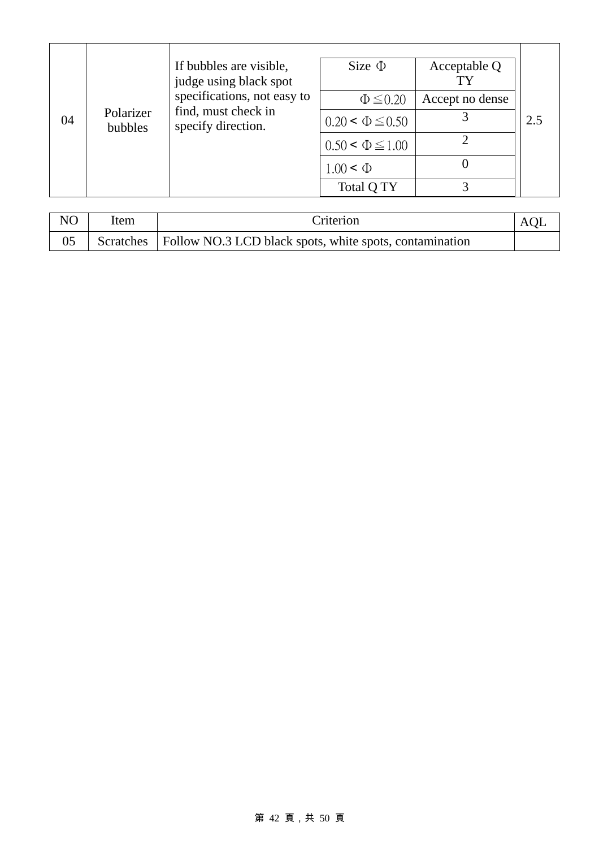|    |                      | If bubbles are visible,<br>judge using black spot                        | Size $\Phi$              | Acceptable Q    |     |
|----|----------------------|--------------------------------------------------------------------------|--------------------------|-----------------|-----|
|    | Polarizer<br>bubbles | specifications, not easy to<br>find, must check in<br>specify direction. | $\Phi \leq 0.20$         | Accept no dense |     |
| 04 |                      |                                                                          | $0.20 \le \Phi \le 0.50$ |                 | 2.5 |
|    |                      |                                                                          | $0.50 \le \Phi \le 1.00$ |                 |     |
|    |                      |                                                                          | $1.00 \le \Phi$          |                 |     |
|    |                      |                                                                          | Total Q TY               |                 |     |

| N <sub>O</sub> | Item | <b>Criterion</b>                                                    | AOL |
|----------------|------|---------------------------------------------------------------------|-----|
|                |      | Scratches   Follow NO.3 LCD black spots, white spots, contamination |     |

### 第 42 頁,共 50 頁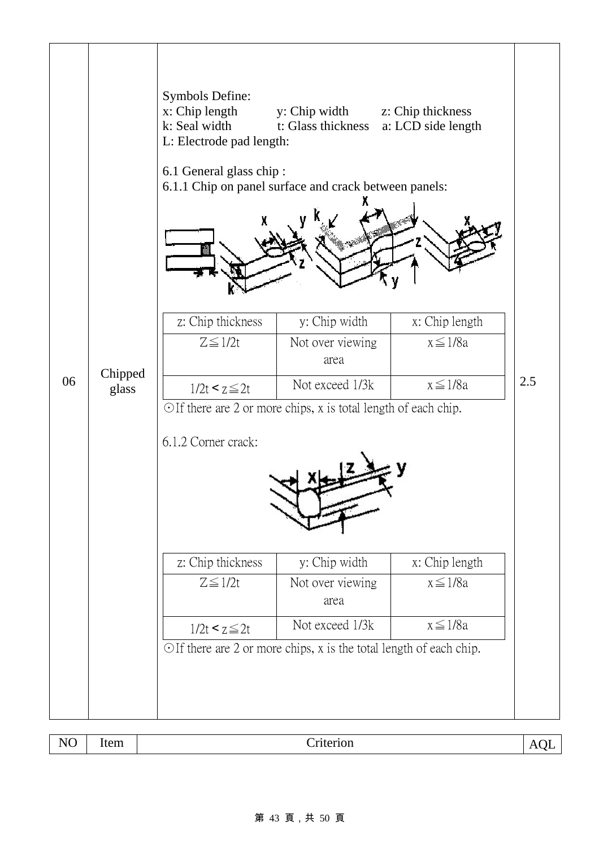

| $ -$<br>W.<br>$\overline{\phantom{a}}$ | $\overline{\phantom{0}}$<br>$\sim$ $\sim$<br>∹HI | $\sim$<br>. | $\overline{\phantom{a}}$ |
|----------------------------------------|--------------------------------------------------|-------------|--------------------------|
|----------------------------------------|--------------------------------------------------|-------------|--------------------------|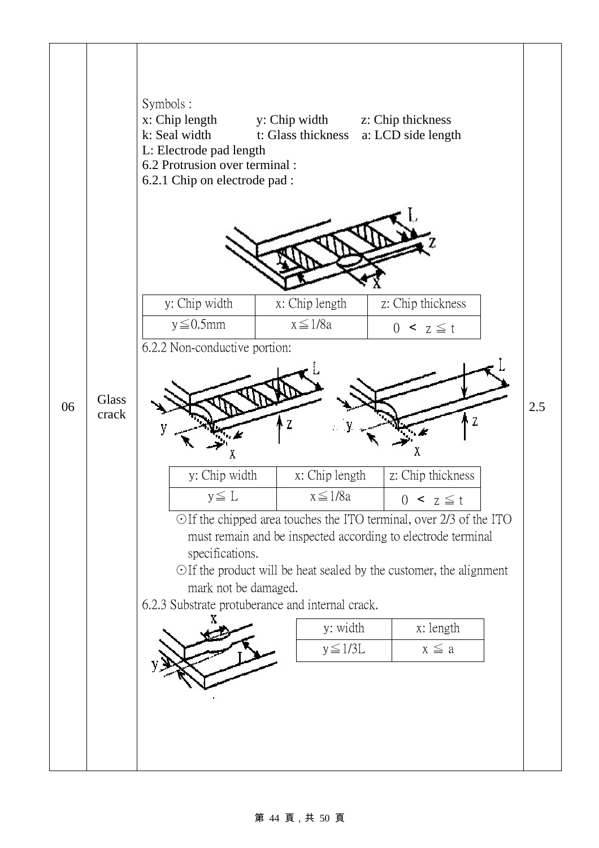

#### 第 44 頁,共 50 頁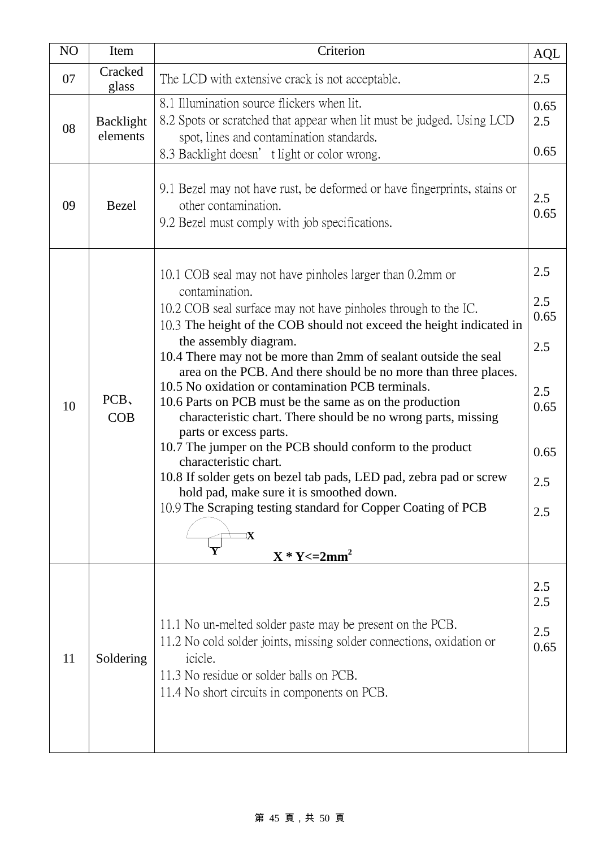| NO | Item                  | Criterion                                                                                                                                                                                                                                                                                                                                                                                                                                                                                                                                                                                                                                                                                                                                                                                                                                                                                   | <b>AQL</b>                                                     |  |  |
|----|-----------------------|---------------------------------------------------------------------------------------------------------------------------------------------------------------------------------------------------------------------------------------------------------------------------------------------------------------------------------------------------------------------------------------------------------------------------------------------------------------------------------------------------------------------------------------------------------------------------------------------------------------------------------------------------------------------------------------------------------------------------------------------------------------------------------------------------------------------------------------------------------------------------------------------|----------------------------------------------------------------|--|--|
| 07 | Cracked<br>glass      | The LCD with extensive crack is not acceptable.                                                                                                                                                                                                                                                                                                                                                                                                                                                                                                                                                                                                                                                                                                                                                                                                                                             | 2.5                                                            |  |  |
| 08 | Backlight<br>elements | 8.1 Illumination source flickers when lit.<br>8.2 Spots or scratched that appear when lit must be judged. Using LCD<br>spot, lines and contamination standards.<br>8.3 Backlight doesn' t light or color wrong.                                                                                                                                                                                                                                                                                                                                                                                                                                                                                                                                                                                                                                                                             |                                                                |  |  |
| 09 | Bezel                 | 9.1 Bezel may not have rust, be deformed or have fingerprints, stains or<br>other contamination.<br>9.2 Bezel must comply with job specifications.                                                                                                                                                                                                                                                                                                                                                                                                                                                                                                                                                                                                                                                                                                                                          |                                                                |  |  |
| 10 | PCB,<br>COB           | 10.1 COB seal may not have pinholes larger than 0.2mm or<br>contamination.<br>10.2 COB seal surface may not have pinholes through to the IC.<br>10.3 The height of the COB should not exceed the height indicated in<br>the assembly diagram.<br>10.4 There may not be more than 2mm of sealant outside the seal<br>area on the PCB. And there should be no more than three places.<br>10.5 No oxidation or contamination PCB terminals.<br>10.6 Parts on PCB must be the same as on the production<br>characteristic chart. There should be no wrong parts, missing<br>parts or excess parts.<br>10.7 The jumper on the PCB should conform to the product<br>characteristic chart.<br>10.8 If solder gets on bezel tab pads, LED pad, zebra pad or screw<br>hold pad, make sure it is smoothed down.<br>10.9 The Scraping testing standard for Copper Coating of PCB<br>$X * Y \leq 2mm^2$ | 2.5<br>2.5<br>0.65<br>2.5<br>2.5<br>0.65<br>0.65<br>2.5<br>2.5 |  |  |
| 11 | Soldering             | 11.1 No un-melted solder paste may be present on the PCB.<br>11.2 No cold solder joints, missing solder connections, oxidation or<br>icicle.<br>11.3 No residue or solder balls on PCB.<br>11.4 No short circuits in components on PCB.                                                                                                                                                                                                                                                                                                                                                                                                                                                                                                                                                                                                                                                     | 2.5<br>2.5<br>2.5<br>0.65                                      |  |  |

### 第 45 頁,共 50 頁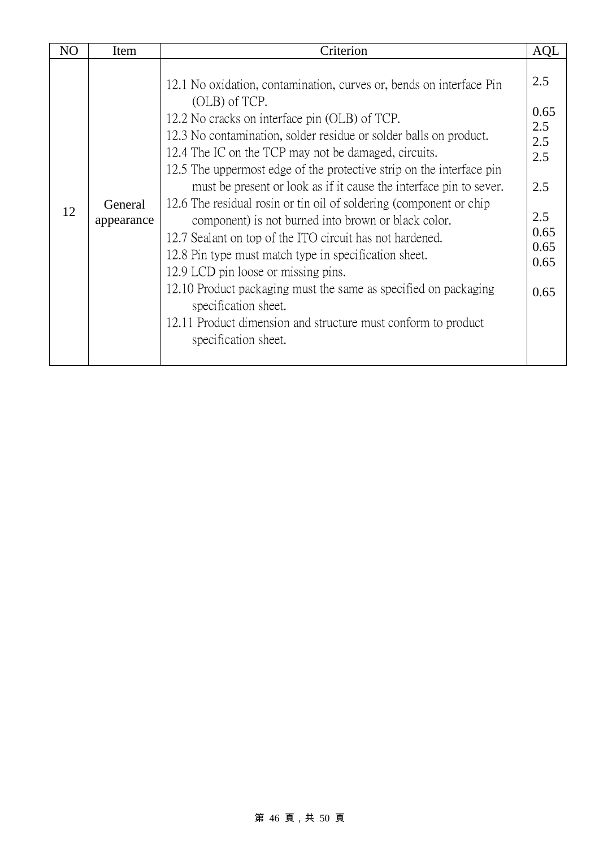| N <sub>O</sub> | Item                  | Criterion                                                                                                                                                                                                                                                                                                                                                                                                                                                                                                                                                                                                                                                                                                                                                                                                                                                                                     |                                                                                |  |  |
|----------------|-----------------------|-----------------------------------------------------------------------------------------------------------------------------------------------------------------------------------------------------------------------------------------------------------------------------------------------------------------------------------------------------------------------------------------------------------------------------------------------------------------------------------------------------------------------------------------------------------------------------------------------------------------------------------------------------------------------------------------------------------------------------------------------------------------------------------------------------------------------------------------------------------------------------------------------|--------------------------------------------------------------------------------|--|--|
| 12             | General<br>appearance | 12.1 No oxidation, contamination, curves or, bends on interface Pin<br>(OLB) of TCP.<br>12.2 No cracks on interface pin (OLB) of TCP.<br>12.3 No contamination, solder residue or solder balls on product.<br>12.4 The IC on the TCP may not be damaged, circuits.<br>12.5 The uppermost edge of the protective strip on the interface pin<br>must be present or look as if it cause the interface pin to sever.<br>12.6 The residual rosin or tin oil of soldering (component or chip<br>component) is not burned into brown or black color.<br>12.7 Sealant on top of the ITO circuit has not hardened.<br>12.8 Pin type must match type in specification sheet.<br>12.9 LCD pin loose or missing pins.<br>12.10 Product packaging must the same as specified on packaging<br>specification sheet.<br>12.11 Product dimension and structure must conform to product<br>specification sheet. | 2.5<br>0.65<br>2.5<br>2.5<br>2.5<br>2.5<br>2.5<br>0.65<br>0.65<br>0.65<br>0.65 |  |  |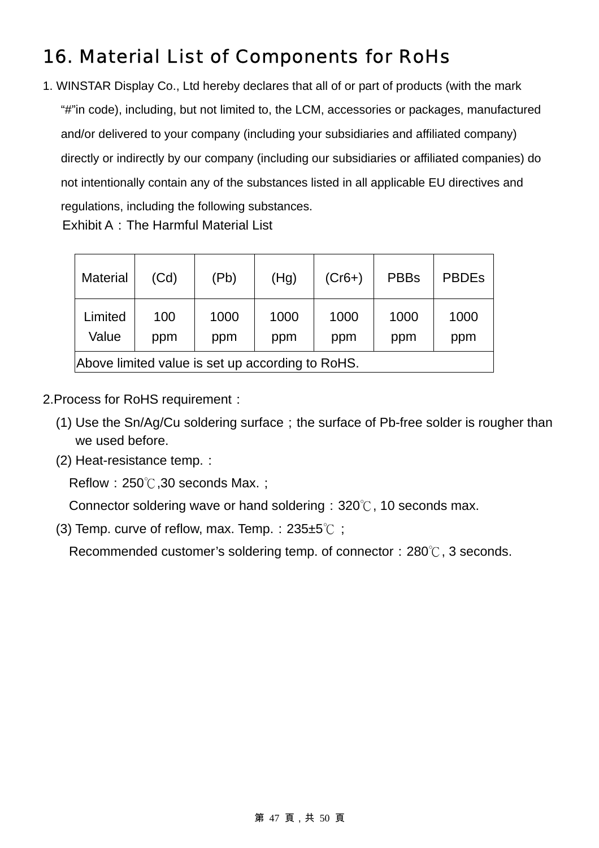# 16. Material List of Components for RoHs

1. WINSTAR Display Co., Ltd hereby declares that all of or part of products (with the mark "#"in code), including, but not limited to, the LCM, accessories or packages, manufactured and/or delivered to your company (including your subsidiaries and affiliated company) directly or indirectly by our company (including our subsidiaries or affiliated companies) do not intentionally contain any of the substances listed in all applicable EU directives and regulations, including the following substances. Exhibit A: The Harmful Material List

| <b>Material</b>                                  | (Cd)       | (Pb)        | (Hg)        | $(Cr6+)$    | <b>PBBs</b> | <b>PBDEs</b> |  |
|--------------------------------------------------|------------|-------------|-------------|-------------|-------------|--------------|--|
| Limited<br>Value                                 | 100<br>ppm | 1000<br>ppm | 1000<br>ppm | 1000<br>ppm | 1000<br>ppm | 1000<br>ppm  |  |
| Above limited value is set up according to RoHS. |            |             |             |             |             |              |  |

2.Process for RoHS requirement:

- (1) Use the Sn/Ag/Cu soldering surface;the surface of Pb-free solder is rougher than we used before.
- (2) Heat-resistance temp.:

Reflow:  $250^{\circ}$ , 30 seconds Max. ;

Connector soldering wave or hand soldering:  $320^{\circ}$ , 10 seconds max.

(3) Temp. curve of reflow, max. Temp.:  $235±5^{\circ}$  ;

Recommended customer's soldering temp. of connector:  $280^\circ\text{C}$ , 3 seconds.

#### 第 47 頁,共 50 頁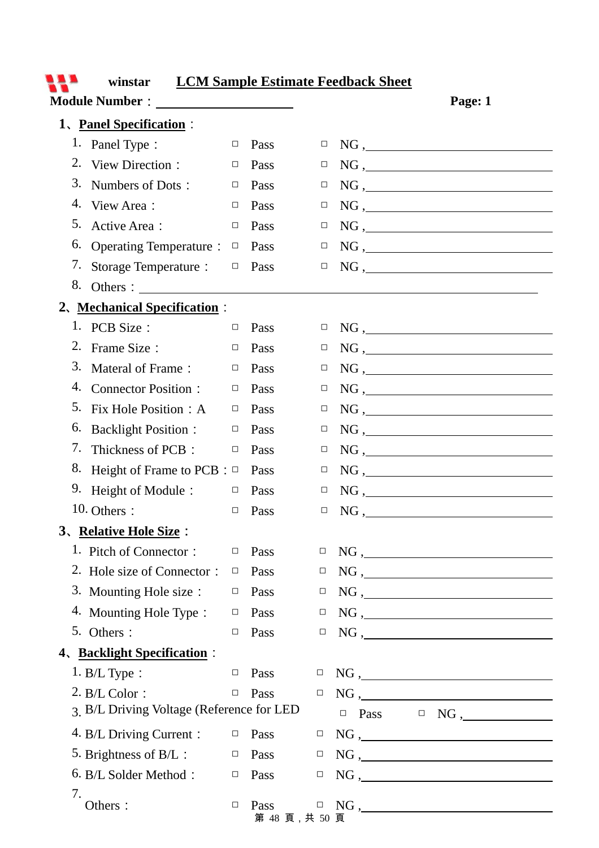| <b>LCM Sample Estimate Feedback Sheet</b><br>winstar |                                                                                                                                                                                                                                                            |        |                       |        |                 |                                                           |  |
|------------------------------------------------------|------------------------------------------------------------------------------------------------------------------------------------------------------------------------------------------------------------------------------------------------------------|--------|-----------------------|--------|-----------------|-----------------------------------------------------------|--|
|                                                      | Module Number : New York Street and Street and Street and Street and Street and Street and Street and Street and Street and Street and Street and Street and Street and Street and Street and Street and Street and Street and<br>1. Panel Specification : |        |                       |        |                 | Page: 1                                                   |  |
|                                                      | 1. Panel Type :                                                                                                                                                                                                                                            | $\Box$ | Pass                  | □      |                 | $NG, \underline{\hspace{2cm}}$                            |  |
|                                                      | 2. View Direction :                                                                                                                                                                                                                                        | $\Box$ | Pass                  | $\Box$ |                 | $NG, \underline{\hspace{2cm}}$                            |  |
| 3.                                                   | Numbers of Dots:                                                                                                                                                                                                                                           | $\Box$ | Pass                  | $\Box$ |                 | $NG, \underline{\hspace{2cm}}$                            |  |
|                                                      | 4. View Area:                                                                                                                                                                                                                                              | $\Box$ | Pass                  | □      |                 | NG,                                                       |  |
| 5.                                                   | Active Area:                                                                                                                                                                                                                                               | $\Box$ | Pass                  | $\Box$ |                 | NG,                                                       |  |
| 6.                                                   | <b>Operating Temperature:</b>                                                                                                                                                                                                                              | $\Box$ | Pass                  | $\Box$ |                 | $NG, \underline{\hspace{2cm}}$                            |  |
|                                                      | 7. Storage Temperature :                                                                                                                                                                                                                                   | $\Box$ | Pass                  | $\Box$ |                 | $NG, \underline{\hspace{2cm}}$                            |  |
|                                                      |                                                                                                                                                                                                                                                            |        |                       |        |                 |                                                           |  |
|                                                      | 2. Mechanical Specification :                                                                                                                                                                                                                              |        |                       |        |                 |                                                           |  |
|                                                      | 1. PCB Size :                                                                                                                                                                                                                                              | $\Box$ | Pass                  | $\Box$ |                 | $NG, \underline{\hspace{2cm}}$                            |  |
|                                                      | 2. Frame Size :                                                                                                                                                                                                                                            | $\Box$ | Pass                  | $\Box$ |                 | $NG, \underline{\hspace{2cm}}$                            |  |
| 3.                                                   | Materal of Frame:                                                                                                                                                                                                                                          | $\Box$ | Pass                  | $\Box$ |                 | NG,                                                       |  |
|                                                      | 4. Connector Position :                                                                                                                                                                                                                                    | $\Box$ | Pass                  | $\Box$ |                 | $NG, \underline{\hspace{2cm}}$                            |  |
| 5.                                                   | Fix Hole Position: A                                                                                                                                                                                                                                       | $\Box$ | Pass                  | $\Box$ |                 | $NG, \_$                                                  |  |
| 6.                                                   | <b>Backlight Position:</b>                                                                                                                                                                                                                                 | $\Box$ | Pass                  | $\Box$ |                 | $NG, \underline{\hspace{2cm}}$                            |  |
|                                                      | 7. Thickness of PCB:                                                                                                                                                                                                                                       | $\Box$ | Pass                  | $\Box$ |                 | $NG, \underline{\hspace{2cm}}$                            |  |
|                                                      | 8. Height of Frame to PCB : $\Box$                                                                                                                                                                                                                         |        | Pass                  | □      |                 | $NG, \underline{\hspace{2cm}}$                            |  |
|                                                      | 9. Height of Module:                                                                                                                                                                                                                                       | $\Box$ | Pass                  | □      |                 | NG,                                                       |  |
|                                                      | 10. Others :                                                                                                                                                                                                                                               | $\Box$ | Pass                  | $\Box$ | $\rm NG$ ,<br>_ |                                                           |  |
|                                                      | 3. Relative Hole Size:                                                                                                                                                                                                                                     |        |                       |        |                 |                                                           |  |
|                                                      | 1. Pitch of Connector:                                                                                                                                                                                                                                     | $\Box$ | Pass                  | $\Box$ |                 | NG,                                                       |  |
|                                                      | 2. Hole size of Connector:                                                                                                                                                                                                                                 | $\Box$ | Pass                  | $\Box$ |                 | NG,                                                       |  |
|                                                      | 3. Mounting Hole size :                                                                                                                                                                                                                                    | $\Box$ | Pass                  | $\Box$ |                 | $NG, \underline{\hspace{2cm}}$                            |  |
|                                                      | 4. Mounting Hole Type:                                                                                                                                                                                                                                     | $\Box$ | Pass                  | $\Box$ |                 |                                                           |  |
|                                                      | 5. Others:                                                                                                                                                                                                                                                 | $\Box$ | Pass                  | $\Box$ |                 | $NG, \underline{\hspace{2cm}}$                            |  |
|                                                      | 4. Backlight Specification:                                                                                                                                                                                                                                |        |                       |        |                 |                                                           |  |
|                                                      | $1. B/L$ Type :                                                                                                                                                                                                                                            | $\Box$ | Pass                  | □      |                 | $NG, \underline{\hspace{2cm}}$                            |  |
|                                                      | $2. B/L Color$ :                                                                                                                                                                                                                                           | $\Box$ | Pass                  | $\Box$ |                 | $NG, \underline{\hspace{2cm}}$                            |  |
|                                                      | 3. B/L Driving Voltage (Reference for LED                                                                                                                                                                                                                  |        |                       |        | Pass<br>$\Box$  | $\hfill \Box \quad NG \; , \qquad \qquad \qquad \Box$     |  |
|                                                      | 4. B/L Driving Current :                                                                                                                                                                                                                                   | $\Box$ | Pass                  | $\Box$ |                 | $NG, \underline{\hspace{2cm}}$                            |  |
|                                                      | 5. Brightness of B/L :                                                                                                                                                                                                                                     | $\Box$ | Pass                  | $\Box$ |                 | $NG, \underline{\hspace{2cm}}$                            |  |
|                                                      | 6. B/L Solder Method:                                                                                                                                                                                                                                      | $\Box$ | Pass                  | □      |                 | $NG, \underline{\hspace{2cm}}$                            |  |
| 7.                                                   | Others:                                                                                                                                                                                                                                                    | $\Box$ | Pass<br>第 48 頁,共 50 頁 |        |                 | $\hfill \Box \quad NG \; , \; \underline{\hspace{1.5cm}}$ |  |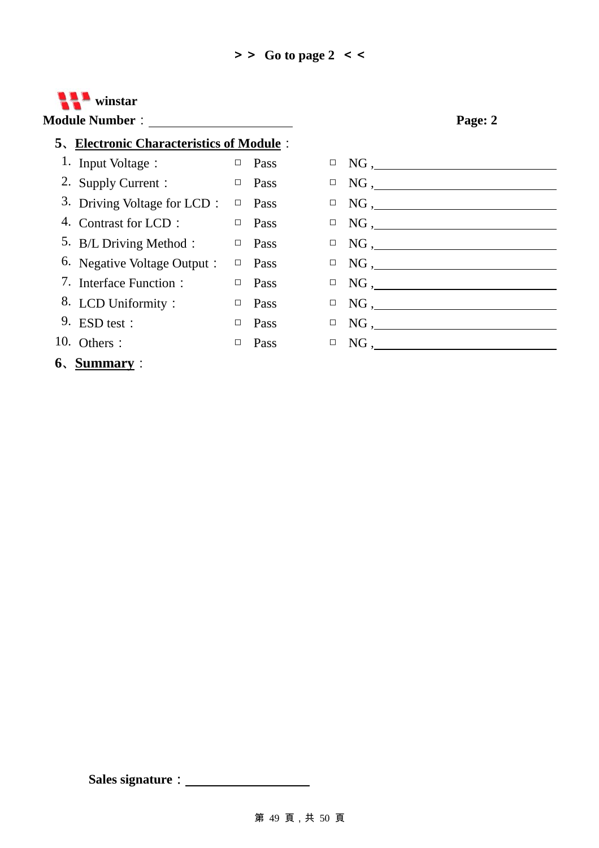

### **5**、**Electronic Characteristics of Module**:

- 3. Driving Voltage for LCD:  $\Box$  Pass  $\Box$  NG, 8. LCD Uniformity:  $\Box$  Pass  $\Box$  NG,
- 
- **6**、**Summary**:



### **Sales signature**: